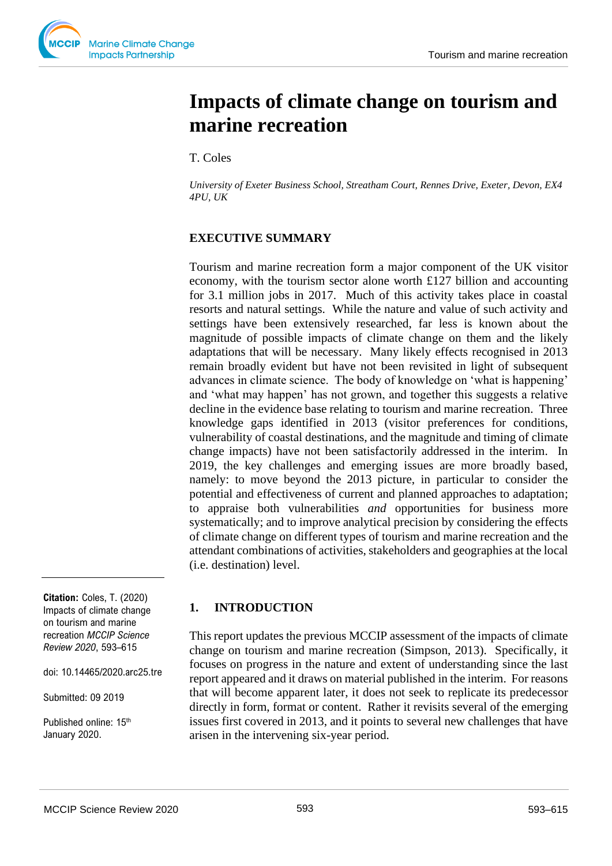# **Impacts of climate change on tourism and marine recreation**

T. Coles

*University of Exeter Business School, Streatham Court, Rennes Drive, Exeter, Devon, EX4 4PU, UK* 

# **EXECUTIVE SUMMARY**

Tourism and marine recreation form a major component of the UK visitor economy, with the tourism sector alone worth £127 billion and accounting for 3.1 million jobs in 2017. Much of this activity takes place in coastal resorts and natural settings. While the nature and value of such activity and settings have been extensively researched, far less is known about the magnitude of possible impacts of climate change on them and the likely adaptations that will be necessary. Many likely effects recognised in 2013 remain broadly evident but have not been revisited in light of subsequent advances in climate science. The body of knowledge on 'what is happening' and 'what may happen' has not grown, and together this suggests a relative decline in the evidence base relating to tourism and marine recreation. Three knowledge gaps identified in 2013 (visitor preferences for conditions, vulnerability of coastal destinations, and the magnitude and timing of climate change impacts) have not been satisfactorily addressed in the interim. In 2019, the key challenges and emerging issues are more broadly based, namely: to move beyond the 2013 picture, in particular to consider the potential and effectiveness of current and planned approaches to adaptation; to appraise both vulnerabilities *and* opportunities for business more systematically; and to improve analytical precision by considering the effects of climate change on different types of tourism and marine recreation and the attendant combinations of activities, stakeholders and geographies at the local (i.e. destination) level.

# **1. INTRODUCTION**

This report updates the previous MCCIP assessment of the impacts of climate change on tourism and marine recreation (Simpson, 2013). Specifically, it focuses on progress in the nature and extent of understanding since the last report appeared and it draws on material published in the interim. For reasons that will become apparent later, it does not seek to replicate its predecessor directly in form, format or content. Rather it revisits several of the emerging issues first covered in 2013, and it points to several new challenges that have arisen in the intervening six-year period.

**Citation:** Coles, T. (2020) Impacts of climate change on tourism and marine recreation *MCCIP Science Review 2020*, 593–615

doi: 10.14465/2020.arc25.tre

Submitted: 09 2019

Published online: 15<sup>th</sup> January 2020.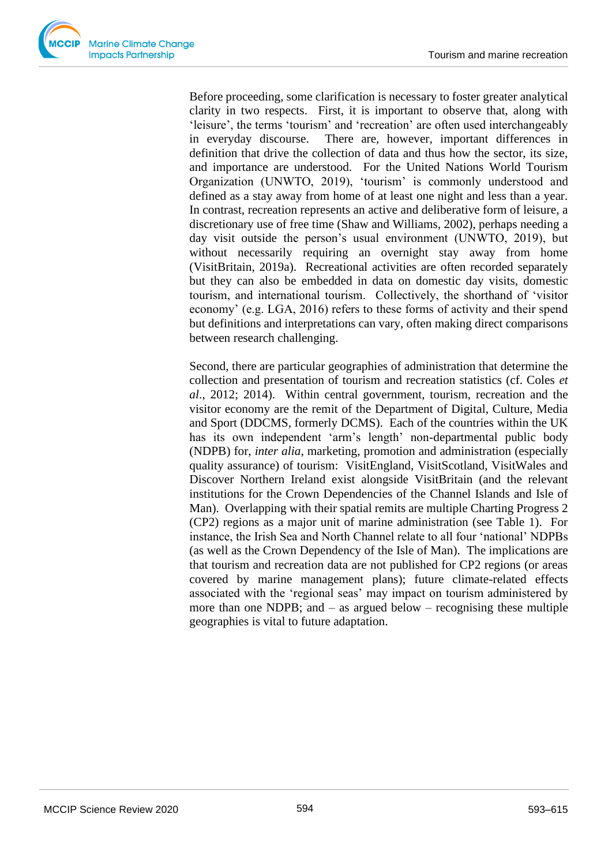Before proceeding, some clarification is necessary to foster greater analytical clarity in two respects. First, it is important to observe that, along with 'leisure', the terms 'tourism' and 'recreation' are often used interchangeably in everyday discourse. There are, however, important differences in definition that drive the collection of data and thus how the sector, its size, and importance are understood. For the United Nations World Tourism Organization (UNWTO, 2019), 'tourism' is commonly understood and defined as a stay away from home of at least one night and less than a year. In contrast, recreation represents an active and deliberative form of leisure, a discretionary use of free time (Shaw and Williams, 2002), perhaps needing a day visit outside the person's usual environment (UNWTO, 2019), but without necessarily requiring an overnight stay away from home (VisitBritain, 2019a). Recreational activities are often recorded separately but they can also be embedded in data on domestic day visits, domestic tourism, and international tourism. Collectively, the shorthand of 'visitor economy' (e.g. LGA, 2016) refers to these forms of activity and their spend but definitions and interpretations can vary, often making direct comparisons between research challenging.

Second, there are particular geographies of administration that determine the collection and presentation of tourism and recreation statistics (cf. Coles *et al*., 2012; 2014). Within central government, tourism, recreation and the visitor economy are the remit of the Department of Digital, Culture, Media and Sport (DDCMS, formerly DCMS). Each of the countries within the UK has its own independent 'arm's length' non-departmental public body (NDPB) for, *inter alia*, marketing, promotion and administration (especially quality assurance) of tourism: VisitEngland, VisitScotland, VisitWales and Discover Northern Ireland exist alongside VisitBritain (and the relevant institutions for the Crown Dependencies of the Channel Islands and Isle of Man). Overlapping with their spatial remits are multiple Charting Progress 2 (CP2) regions as a major unit of marine administration (see Table 1). For instance, the Irish Sea and North Channel relate to all four 'national' NDPBs (as well as the Crown Dependency of the Isle of Man). The implications are that tourism and recreation data are not published for CP2 regions (or areas covered by marine management plans); future climate-related effects associated with the 'regional seas' may impact on tourism administered by more than one NDPB; and  $-$  as argued below  $-$  recognising these multiple geographies is vital to future adaptation.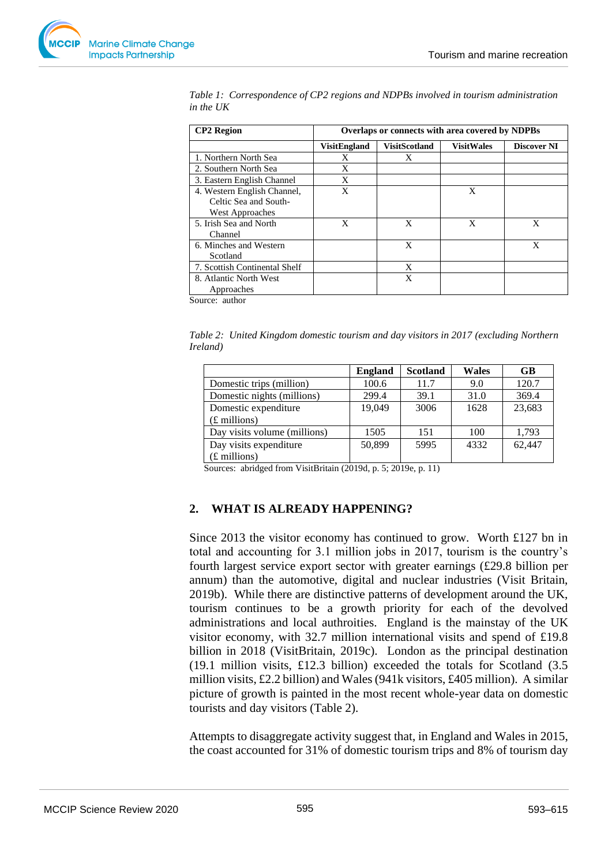| <b>CP2</b> Region<br>Overlaps or connects with area covered by NDPBs |                     |                      |                   |                    |  |  |  |  |
|----------------------------------------------------------------------|---------------------|----------------------|-------------------|--------------------|--|--|--|--|
|                                                                      | <b>VisitEngland</b> | <b>VisitScotland</b> | <b>VisitWales</b> | <b>Discover NI</b> |  |  |  |  |
| 1. Northern North Sea                                                | X                   | X                    |                   |                    |  |  |  |  |
| 2. Southern North Sea                                                | X                   |                      |                   |                    |  |  |  |  |
| 3. Eastern English Channel                                           | X                   |                      |                   |                    |  |  |  |  |
| 4. Western English Channel,                                          | X                   |                      | X                 |                    |  |  |  |  |
| Celtic Sea and South-                                                |                     |                      |                   |                    |  |  |  |  |
| West Approaches                                                      |                     |                      |                   |                    |  |  |  |  |
| 5. Irish Sea and North                                               | X                   | X                    | X                 | X                  |  |  |  |  |
| Channel                                                              |                     |                      |                   |                    |  |  |  |  |
| 6. Minches and Western                                               |                     | X                    |                   | X                  |  |  |  |  |
| Scotland                                                             |                     |                      |                   |                    |  |  |  |  |
| 7. Scottish Continental Shelf                                        |                     | X                    |                   |                    |  |  |  |  |
| 8. Atlantic North West                                               |                     | X                    |                   |                    |  |  |  |  |
| Approaches                                                           |                     |                      |                   |                    |  |  |  |  |

*Table 1: Correspondence of CP2 regions and NDPBs involved in tourism administration in the UK*

Source: author

*Table 2: United Kingdom domestic tourism and day visitors in 2017 (excluding Northern Ireland)*

|                              | <b>England</b> | <b>Scotland</b> | <b>Wales</b> | GB     |
|------------------------------|----------------|-----------------|--------------|--------|
| Domestic trips (million)     | 100.6          | 11.7            | 9.0          | 120.7  |
| Domestic nights (millions)   | 299.4          | 39.1            | 31.0         | 369.4  |
| Domestic expenditure         | 19.049         | 3006            | 1628         | 23,683 |
| $(E$ millions)               |                |                 |              |        |
| Day visits volume (millions) | 1505           | 151             | 100          | 1.793  |
| Day visits expenditure       | 50.899         | 5995            | 4332         | 62,447 |
| $(E$ millions)               |                |                 |              |        |

Sources: abridged from VisitBritain (2019d, p. 5; 2019e, p. 11)

# **2. WHAT IS ALREADY HAPPENING?**

Since 2013 the visitor economy has continued to grow. Worth £127 bn in total and accounting for 3.1 million jobs in 2017, tourism is the country's fourth largest service export sector with greater earnings (£29.8 billion per annum) than the automotive, digital and nuclear industries (Visit Britain, 2019b). While there are distinctive patterns of development around the UK, tourism continues to be a growth priority for each of the devolved administrations and local authroities. England is the mainstay of the UK visitor economy, with 32.7 million international visits and spend of £19.8 billion in 2018 (VisitBritain, 2019c). London as the principal destination (19.1 million visits, £12.3 billion) exceeded the totals for Scotland (3.5 million visits, £2.2 billion) and Wales (941k visitors, £405 million). A similar picture of growth is painted in the most recent whole-year data on domestic tourists and day visitors (Table 2).

Attempts to disaggregate activity suggest that, in England and Wales in 2015, the coast accounted for 31% of domestic tourism trips and 8% of tourism day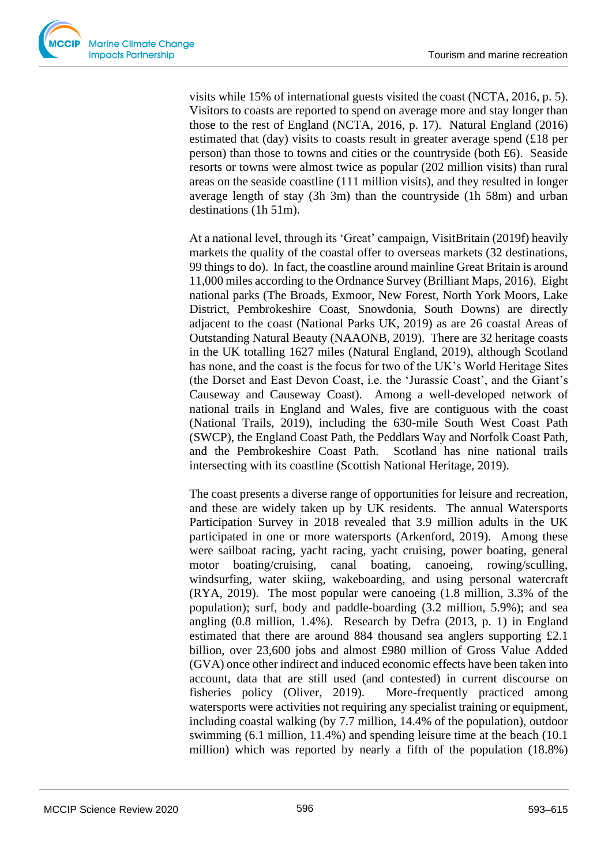visits while 15% of international guests visited the coast (NCTA, 2016, p. 5). Visitors to coasts are reported to spend on average more and stay longer than those to the rest of England (NCTA, 2016, p. 17). Natural England (2016) estimated that (day) visits to coasts result in greater average spend (£18 per person) than those to towns and cities or the countryside (both £6). Seaside resorts or towns were almost twice as popular (202 million visits) than rural areas on the seaside coastline (111 million visits), and they resulted in longer average length of stay (3h 3m) than the countryside (1h 58m) and urban destinations (1h 51m).

At a national level, through its 'Great' campaign, VisitBritain (2019f) heavily markets the quality of the coastal offer to overseas markets (32 destinations, 99 things to do). In fact, the coastline around mainline Great Britain is around 11,000 miles according to the Ordnance Survey (Brilliant Maps, 2016). Eight national parks (The Broads, Exmoor, New Forest, North York Moors, Lake District, Pembrokeshire Coast, Snowdonia, South Downs) are directly adjacent to the coast (National Parks UK, 2019) as are 26 coastal Areas of Outstanding Natural Beauty (NAAONB, 2019). There are 32 heritage coasts in the UK totalling 1627 miles (Natural England, 2019), although Scotland has none, and the coast is the focus for two of the UK's World Heritage Sites (the Dorset and East Devon Coast, i.e. the 'Jurassic Coast', and the Giant's Causeway and Causeway Coast). Among a well-developed network of national trails in England and Wales, five are contiguous with the coast (National Trails, 2019), including the 630-mile South West Coast Path (SWCP), the England Coast Path, the Peddlars Way and Norfolk Coast Path, and the Pembrokeshire Coast Path. Scotland has nine national trails intersecting with its coastline (Scottish National Heritage, 2019).

The coast presents a diverse range of opportunities for leisure and recreation, and these are widely taken up by UK residents. The annual Watersports Participation Survey in 2018 revealed that 3.9 million adults in the UK participated in one or more watersports (Arkenford, 2019). Among these were sailboat racing, yacht racing, yacht cruising, power boating, general motor boating/cruising, canal boating, canoeing, rowing/sculling, windsurfing, water skiing, wakeboarding, and using personal watercraft (RYA, 2019). The most popular were canoeing (1.8 million, 3.3% of the population); surf, body and paddle-boarding (3.2 million, 5.9%); and sea angling (0.8 million, 1.4%). Research by Defra (2013, p. 1) in England estimated that there are around 884 thousand sea anglers supporting £2.1 billion, over 23,600 jobs and almost £980 million of Gross Value Added (GVA) once other indirect and induced economic effects have been taken into account, data that are still used (and contested) in current discourse on fisheries policy (Oliver, 2019). More-frequently practiced among watersports were activities not requiring any specialist training or equipment, including coastal walking (by 7.7 million, 14.4% of the population), outdoor swimming (6.1 million, 11.4%) and spending leisure time at the beach (10.1 million) which was reported by nearly a fifth of the population (18.8%)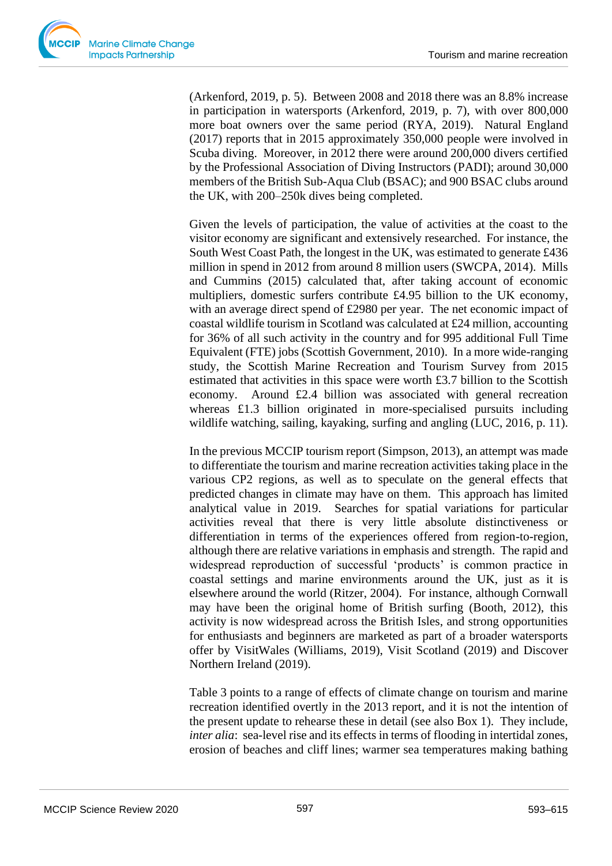(Arkenford, 2019, p. 5). Between 2008 and 2018 there was an 8.8% increase in participation in watersports (Arkenford, 2019, p. 7), with over 800,000 more boat owners over the same period (RYA, 2019). Natural England (2017) reports that in 2015 approximately 350,000 people were involved in Scuba diving. Moreover, in 2012 there were around 200,000 divers certified by the Professional Association of Diving Instructors (PADI); around 30,000 members of the British Sub-Aqua Club (BSAC); and 900 BSAC clubs around the UK, with 200–250k dives being completed.

Given the levels of participation, the value of activities at the coast to the visitor economy are significant and extensively researched. For instance, the South West Coast Path, the longest in the UK, was estimated to generate £436 million in spend in 2012 from around 8 million users (SWCPA, 2014). Mills and Cummins (2015) calculated that, after taking account of economic multipliers, domestic surfers contribute £4.95 billion to the UK economy, with an average direct spend of £2980 per year. The net economic impact of coastal wildlife tourism in Scotland was calculated at £24 million, accounting for 36% of all such activity in the country and for 995 additional Full Time Equivalent (FTE) jobs (Scottish Government, 2010). In a more wide-ranging study, the Scottish Marine Recreation and Tourism Survey from 2015 estimated that activities in this space were worth £3.7 billion to the Scottish economy. Around  $£2.4$  billion was associated with general recreation whereas £1.3 billion originated in more-specialised pursuits including wildlife watching, sailing, kayaking, surfing and angling (LUC, 2016, p. 11).

In the previous MCCIP tourism report (Simpson, 2013), an attempt was made to differentiate the tourism and marine recreation activities taking place in the various CP2 regions, as well as to speculate on the general effects that predicted changes in climate may have on them. This approach has limited analytical value in 2019. Searches for spatial variations for particular activities reveal that there is very little absolute distinctiveness or differentiation in terms of the experiences offered from region-to-region, although there are relative variations in emphasis and strength. The rapid and widespread reproduction of successful 'products' is common practice in coastal settings and marine environments around the UK, just as it is elsewhere around the world (Ritzer, 2004). For instance, although Cornwall may have been the original home of British surfing (Booth, 2012), this activity is now widespread across the British Isles, and strong opportunities for enthusiasts and beginners are marketed as part of a broader watersports offer by VisitWales (Williams, 2019), Visit Scotland (2019) and Discover Northern Ireland (2019).

Table 3 points to a range of effects of climate change on tourism and marine recreation identified overtly in the 2013 report, and it is not the intention of the present update to rehearse these in detail (see also Box 1). They include, *inter alia*: sea-level rise and its effects in terms of flooding in intertidal zones, erosion of beaches and cliff lines; warmer sea temperatures making bathing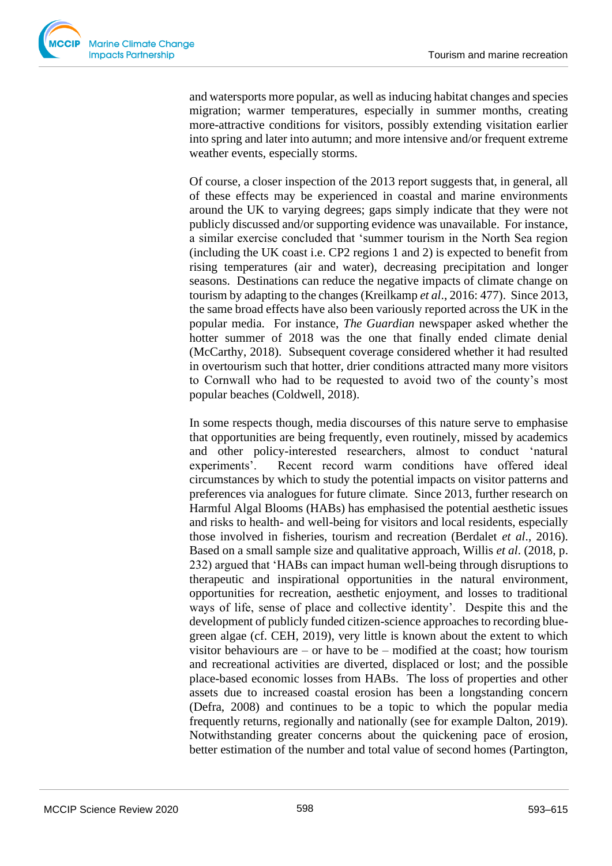and watersports more popular, as well as inducing habitat changes and species migration; warmer temperatures, especially in summer months, creating more-attractive conditions for visitors, possibly extending visitation earlier into spring and later into autumn; and more intensive and/or frequent extreme weather events, especially storms.

Of course, a closer inspection of the 2013 report suggests that, in general, all of these effects may be experienced in coastal and marine environments around the UK to varying degrees; gaps simply indicate that they were not publicly discussed and/or supporting evidence was unavailable. For instance, a similar exercise concluded that 'summer tourism in the North Sea region (including the UK coast i.e. CP2 regions 1 and 2) is expected to benefit from rising temperatures (air and water), decreasing precipitation and longer seasons. Destinations can reduce the negative impacts of climate change on tourism by adapting to the changes (Kreilkamp *et al*., 2016: 477). Since 2013, the same broad effects have also been variously reported across the UK in the popular media. For instance, *The Guardian* newspaper asked whether the hotter summer of 2018 was the one that finally ended climate denial (McCarthy, 2018). Subsequent coverage considered whether it had resulted in overtourism such that hotter, drier conditions attracted many more visitors to Cornwall who had to be requested to avoid two of the county's most popular beaches (Coldwell, 2018).

In some respects though, media discourses of this nature serve to emphasise that opportunities are being frequently, even routinely, missed by academics and other policy-interested researchers, almost to conduct 'natural experiments'. Recent record warm conditions have offered ideal circumstances by which to study the potential impacts on visitor patterns and preferences via analogues for future climate. Since 2013, further research on Harmful Algal Blooms (HABs) has emphasised the potential aesthetic issues and risks to health- and well-being for visitors and local residents, especially those involved in fisheries, tourism and recreation (Berdalet *et al*., 2016). Based on a small sample size and qualitative approach, Willis *et al*. (2018, p. 232) argued that 'HABs can impact human well-being through disruptions to therapeutic and inspirational opportunities in the natural environment, opportunities for recreation, aesthetic enjoyment, and losses to traditional ways of life, sense of place and collective identity'. Despite this and the development of publicly funded citizen-science approaches to recording bluegreen algae (cf. CEH, 2019), very little is known about the extent to which visitor behaviours are  $-$  or have to be  $-$  modified at the coast; how tourism and recreational activities are diverted, displaced or lost; and the possible place-based economic losses from HABs. The loss of properties and other assets due to increased coastal erosion has been a longstanding concern (Defra, 2008) and continues to be a topic to which the popular media frequently returns, regionally and nationally (see for example Dalton, 2019). Notwithstanding greater concerns about the quickening pace of erosion, better estimation of the number and total value of second homes (Partington,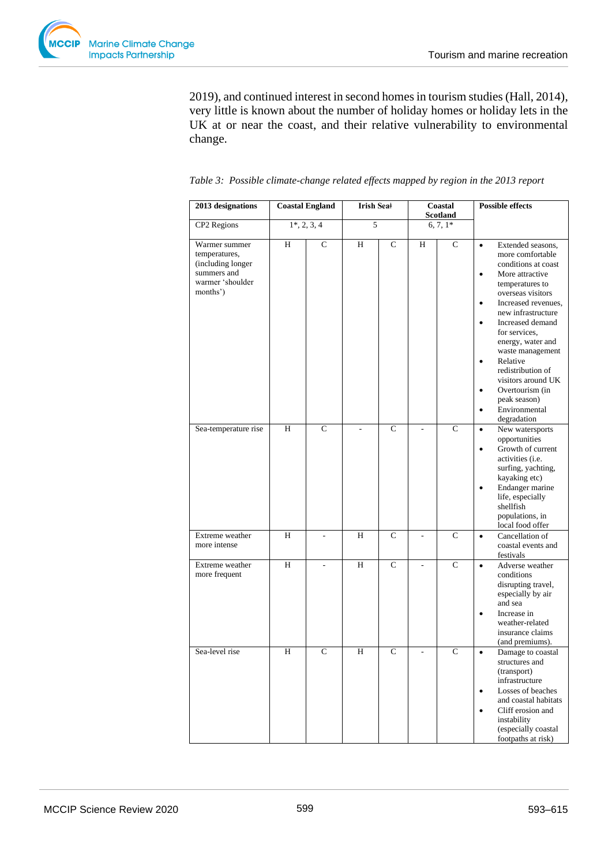

2019), and continued interest in second homes in tourism studies (Hall, 2014), very little is known about the number of holiday homes or holiday lets in the UK at or near the coast, and their relative vulnerability to environmental change.

| 2013 designations                                                                                  |   | <b>Coastal England</b> | Irish Sea‡ |              | Coastal<br>Scotland |               | <b>Possible effects</b>                                                                                                                                                                                                                                                                                                                                                                                                                                                 |
|----------------------------------------------------------------------------------------------------|---|------------------------|------------|--------------|---------------------|---------------|-------------------------------------------------------------------------------------------------------------------------------------------------------------------------------------------------------------------------------------------------------------------------------------------------------------------------------------------------------------------------------------------------------------------------------------------------------------------------|
| CP2 Regions                                                                                        |   | $1^*, 2, 3, 4$         | 5          |              |                     | $6, 7, 1*$    |                                                                                                                                                                                                                                                                                                                                                                                                                                                                         |
| Warmer summer<br>temperatures,<br>(including longer<br>summers and<br>warmer 'shoulder<br>months') | H | $\mathsf{C}$           | H          | $\mathsf{C}$ | H                   | $\mathcal{C}$ | Extended seasons,<br>$\bullet$<br>more comfortable<br>conditions at coast<br>More attractive<br>$\bullet$<br>temperatures to<br>overseas visitors<br>Increased revenues,<br>$\bullet$<br>new infrastructure<br>Increased demand<br>$\bullet$<br>for services,<br>energy, water and<br>waste management<br>Relative<br>$\bullet$<br>redistribution of<br>visitors around UK<br>Overtourism (in<br>$\bullet$<br>peak season)<br>Environmental<br>$\bullet$<br>degradation |
| Sea-temperature rise                                                                               | H | $\mathbf C$            |            | $\mathbf C$  |                     | $\mathbf C$   | New watersports<br>$\bullet$<br>opportunities<br>Growth of current<br>$\bullet$<br>activities (i.e.<br>surfing, yachting,<br>kayaking etc)<br>Endanger marine<br>$\bullet$<br>life, especially<br>shellfish<br>populations, in<br>local food offer                                                                                                                                                                                                                      |
| Extreme weather<br>more intense                                                                    | H |                        | H          | $\mathsf{C}$ | $\overline{a}$      | $\mathbf C$   | Cancellation of<br>$\bullet$<br>coastal events and<br>festivals                                                                                                                                                                                                                                                                                                                                                                                                         |
| Extreme weather<br>more frequent                                                                   | H | ÷.                     | H          | $\mathbf C$  |                     | $\mathbf C$   | Adverse weather<br>$\bullet$<br>conditions<br>disrupting travel,<br>especially by air<br>and sea<br>Increase in<br>$\bullet$<br>weather-related<br>insurance claims<br>(and premiums).                                                                                                                                                                                                                                                                                  |
| Sea-level rise                                                                                     | H | $\mathsf{C}$           | H          | $\mathsf{C}$ | $\overline{a}$      | $\mathcal{C}$ | Damage to coastal<br>$\bullet$<br>structures and<br>(transport)<br>infrastructure<br>Losses of beaches<br>$\bullet$<br>and coastal habitats<br>Cliff erosion and<br>instability<br>(especially coastal<br>footpaths at risk)                                                                                                                                                                                                                                            |

|  |  | Table 3: Possible climate-change related effects mapped by region in the 2013 report |  |  |  |  |  |  |  |  |  |  |
|--|--|--------------------------------------------------------------------------------------|--|--|--|--|--|--|--|--|--|--|
|--|--|--------------------------------------------------------------------------------------|--|--|--|--|--|--|--|--|--|--|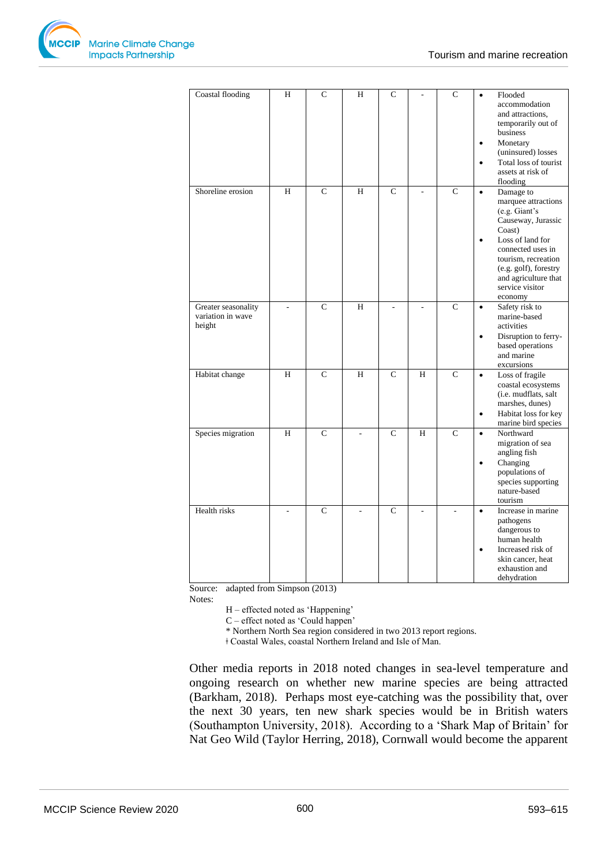

| Coastal flooding                                   | H  | $\overline{C}$ | H | $\mathsf{C}$   |   | $\mathbf C$ | $\bullet$<br>$\bullet$<br>$\bullet$ | Flooded<br>accommodation<br>and attractions.<br>temporarily out of<br>business<br>Monetary<br>(uninsured) losses<br>Total loss of tourist<br>assets at risk of<br>flooding                                                        |
|----------------------------------------------------|----|----------------|---|----------------|---|-------------|-------------------------------------|-----------------------------------------------------------------------------------------------------------------------------------------------------------------------------------------------------------------------------------|
| Shoreline erosion                                  | H  | $\mathsf{C}$   | H | $\mathsf{C}$   |   | $\mathbf C$ | $\bullet$<br>$\bullet$              | Damage to<br>marquee attractions<br>(e.g. Giant's)<br>Causeway, Jurassic<br>Coast)<br>Loss of land for<br>connected uses in<br>tourism, recreation<br>(e.g. golf), forestry<br>and agriculture that<br>service visitor<br>economy |
| Greater seasonality<br>variation in wave<br>height | ÷. | $\mathbf C$    | H | L,             |   | $\mathbf C$ | $\bullet$<br>$\bullet$              | Safety risk to<br>marine-based<br>activities<br>Disruption to ferry-<br>based operations<br>and marine<br>excursions                                                                                                              |
| Habitat change                                     | H  | $\mathsf{C}$   | H | $\mathsf{C}$   | H | $\mathbf C$ | $\bullet$<br>$\bullet$              | Loss of fragile<br>coastal ecosystems<br>(i.e. mudflats, salt<br>marshes, dunes)<br>Habitat loss for key<br>marine bird species                                                                                                   |
| Species migration                                  | H  | $\mathbf C$    |   | $\mathsf{C}$   | H | $\mathbf C$ | $\bullet$<br>$\bullet$              | Northward<br>migration of sea<br>angling fish<br>Changing<br>populations of<br>species supporting<br>nature-based<br>tourism                                                                                                      |
| Health risks                                       |    | $\mathcal{C}$  |   | $\overline{C}$ |   |             | $\bullet$                           | Increase in marine<br>pathogens<br>dangerous to<br>human health<br>Increased risk of<br>skin cancer, heat<br>exhaustion and<br>dehydration                                                                                        |

Source: adapted from Simpson (2013)

Notes:

H – effected noted as 'Happening'

C – effect noted as 'Could happen'

\* Northern North Sea region considered in two 2013 report regions.

ǂ Coastal Wales, coastal Northern Ireland and Isle of Man.

Other media reports in 2018 noted changes in sea-level temperature and ongoing research on whether new marine species are being attracted (Barkham, 2018). Perhaps most eye-catching was the possibility that, over the next 30 years, ten new shark species would be in British waters (Southampton University, 2018). According to a 'Shark Map of Britain' for Nat Geo Wild (Taylor Herring, 2018), Cornwall would become the apparent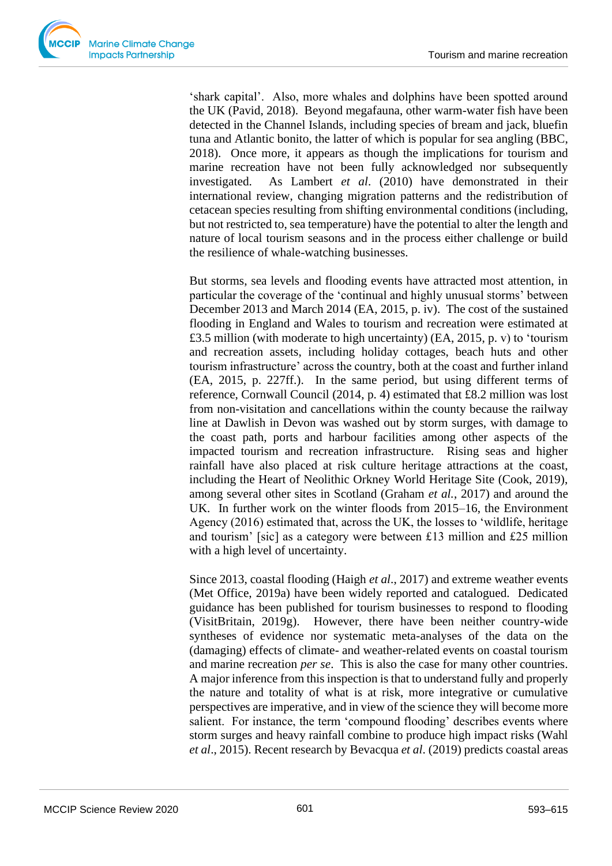

'shark capital'. Also, more whales and dolphins have been spotted around the UK (Pavid, 2018). Beyond megafauna, other warm-water fish have been detected in the Channel Islands, including species of bream and jack, bluefin tuna and Atlantic bonito, the latter of which is popular for sea angling (BBC, 2018). Once more, it appears as though the implications for tourism and marine recreation have not been fully acknowledged nor subsequently investigated. As Lambert *et al*. (2010) have demonstrated in their international review, changing migration patterns and the redistribution of cetacean species resulting from shifting environmental conditions (including, but not restricted to, sea temperature) have the potential to alter the length and nature of local tourism seasons and in the process either challenge or build the resilience of whale-watching businesses.

But storms, sea levels and flooding events have attracted most attention, in particular the coverage of the 'continual and highly unusual storms' between December 2013 and March 2014 (EA, 2015, p. iv). The cost of the sustained flooding in England and Wales to tourism and recreation were estimated at £3.5 million (with moderate to high uncertainty) (EA, 2015, p. v) to 'tourism and recreation assets, including holiday cottages, beach huts and other tourism infrastructure' across the country, both at the coast and further inland (EA, 2015, p. 227ff.). In the same period, but using different terms of reference, Cornwall Council (2014, p. 4) estimated that £8.2 million was lost from non-visitation and cancellations within the county because the railway line at Dawlish in Devon was washed out by storm surges, with damage to the coast path, ports and harbour facilities among other aspects of the impacted tourism and recreation infrastructure. Rising seas and higher rainfall have also placed at risk culture heritage attractions at the coast, including the Heart of Neolithic Orkney World Heritage Site (Cook, 2019), among several other sites in Scotland (Graham *et al.*, 2017) and around the UK. In further work on the winter floods from 2015–16, the Environment Agency (2016) estimated that, across the UK, the losses to 'wildlife, heritage and tourism' [sic] as a category were between £13 million and £25 million with a high level of uncertainty.

Since 2013, coastal flooding (Haigh *et al*., 2017) and extreme weather events (Met Office, 2019a) have been widely reported and catalogued. Dedicated guidance has been published for tourism businesses to respond to flooding (VisitBritain, 2019g). However, there have been neither country-wide syntheses of evidence nor systematic meta-analyses of the data on the (damaging) effects of climate- and weather-related events on coastal tourism and marine recreation *per se*. This is also the case for many other countries. A major inference from this inspection is that to understand fully and properly the nature and totality of what is at risk, more integrative or cumulative perspectives are imperative, and in view of the science they will become more salient. For instance, the term 'compound flooding' describes events where storm surges and heavy rainfall combine to produce high impact risks (Wahl *et al*., 2015). Recent research by Bevacqua *et al*. (2019) predicts coastal areas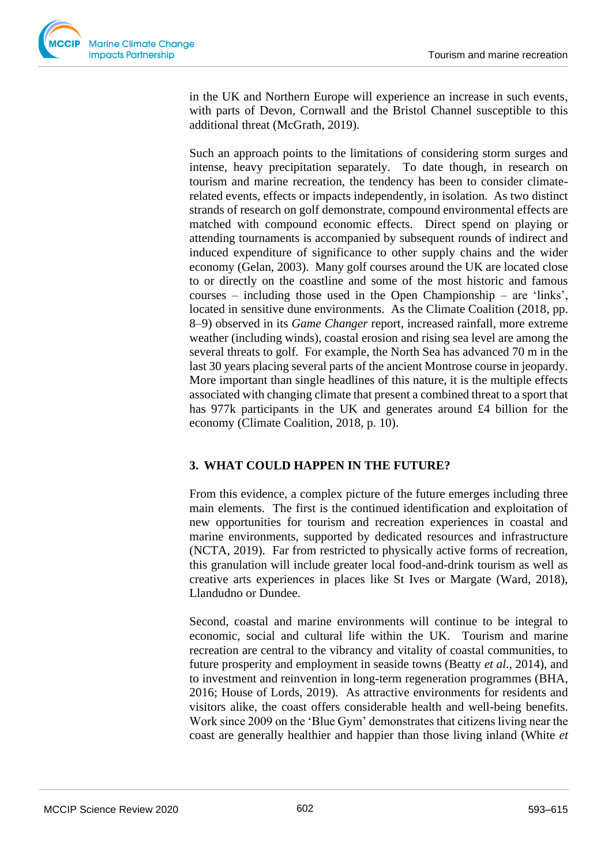in the UK and Northern Europe will experience an increase in such events, with parts of Devon, Cornwall and the Bristol Channel susceptible to this additional threat (McGrath, 2019).

Such an approach points to the limitations of considering storm surges and intense, heavy precipitation separately. To date though, in research on tourism and marine recreation, the tendency has been to consider climaterelated events, effects or impacts independently, in isolation. As two distinct strands of research on golf demonstrate, compound environmental effects are matched with compound economic effects. Direct spend on playing or attending tournaments is accompanied by subsequent rounds of indirect and induced expenditure of significance to other supply chains and the wider economy (Gelan, 2003). Many golf courses around the UK are located close to or directly on the coastline and some of the most historic and famous courses – including those used in the Open Championship – are 'links', located in sensitive dune environments. As the Climate Coalition (2018, pp. 8–9) observed in its *Game Changer* report, increased rainfall, more extreme weather (including winds), coastal erosion and rising sea level are among the several threats to golf. For example, the North Sea has advanced 70 m in the last 30 years placing several parts of the ancient Montrose course in jeopardy. More important than single headlines of this nature, it is the multiple effects associated with changing climate that present a combined threat to a sport that has 977k participants in the UK and generates around £4 billion for the economy (Climate Coalition, 2018, p. 10).

# **3. WHAT COULD HAPPEN IN THE FUTURE?**

From this evidence, a complex picture of the future emerges including three main elements. The first is the continued identification and exploitation of new opportunities for tourism and recreation experiences in coastal and marine environments, supported by dedicated resources and infrastructure (NCTA, 2019). Far from restricted to physically active forms of recreation, this granulation will include greater local food-and-drink tourism as well as creative arts experiences in places like St Ives or Margate (Ward, 2018), Llandudno or Dundee.

Second, coastal and marine environments will continue to be integral to economic, social and cultural life within the UK. Tourism and marine recreation are central to the vibrancy and vitality of coastal communities, to future prosperity and employment in seaside towns (Beatty *et al*., 2014), and to investment and reinvention in long-term regeneration programmes (BHA, 2016; House of Lords, 2019). As attractive environments for residents and visitors alike, the coast offers considerable health and well-being benefits. Work since 2009 on the 'Blue Gym' demonstrates that citizens living near the coast are generally healthier and happier than those living inland (White *et*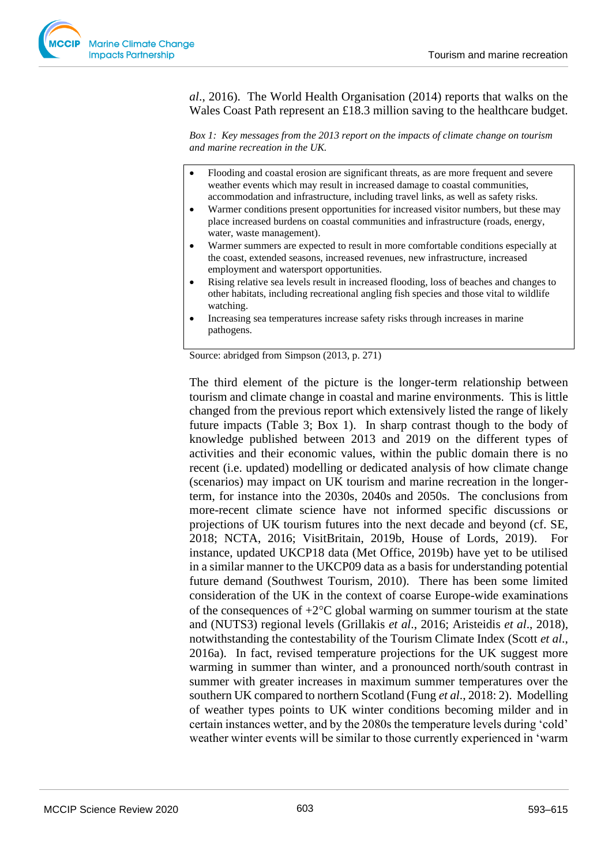*al*., 2016). The World Health Organisation (2014) reports that walks on the Wales Coast Path represent an £18.3 million saving to the healthcare budget.

*Box 1: Key messages from the 2013 report on the impacts of climate change on tourism and marine recreation in the UK.*

- Flooding and coastal erosion are significant threats, as are more frequent and severe weather events which may result in increased damage to coastal communities, accommodation and infrastructure, including travel links, as well as safety risks.
- Warmer conditions present opportunities for increased visitor numbers, but these may place increased burdens on coastal communities and infrastructure (roads, energy, water, waste management).
- Warmer summers are expected to result in more comfortable conditions especially at the coast, extended seasons, increased revenues, new infrastructure, increased employment and watersport opportunities.
- Rising relative sea levels result in increased flooding, loss of beaches and changes to other habitats, including recreational angling fish species and those vital to wildlife watching.
- Increasing sea temperatures increase safety risks through increases in marine pathogens.

Source: abridged from Simpson (2013, p. 271)

The third element of the picture is the longer-term relationship between tourism and climate change in coastal and marine environments. This is little changed from the previous report which extensively listed the range of likely future impacts (Table 3; Box 1). In sharp contrast though to the body of knowledge published between 2013 and 2019 on the different types of activities and their economic values, within the public domain there is no recent (i.e. updated) modelling or dedicated analysis of how climate change (scenarios) may impact on UK tourism and marine recreation in the longerterm, for instance into the 2030s, 2040s and 2050s. The conclusions from more-recent climate science have not informed specific discussions or projections of UK tourism futures into the next decade and beyond (cf. SE, 2018; NCTA, 2016; VisitBritain, 2019b, House of Lords, 2019). For instance, updated UKCP18 data (Met Office, 2019b) have yet to be utilised in a similar manner to the UKCP09 data as a basis for understanding potential future demand (Southwest Tourism, 2010). There has been some limited consideration of the UK in the context of coarse Europe-wide examinations of the consequences of  $+2^{\circ}C$  global warming on summer tourism at the state and (NUTS3) regional levels (Grillakis *et al*., 2016; Aristeidis *et al*., 2018), notwithstanding the contestability of the Tourism Climate Index (Scott *et al*., 2016a). In fact, revised temperature projections for the UK suggest more warming in summer than winter, and a pronounced north/south contrast in summer with greater increases in maximum summer temperatures over the southern UK compared to northern Scotland (Fung *et al*., 2018: 2). Modelling of weather types points to UK winter conditions becoming milder and in certain instances wetter, and by the 2080s the temperature levels during 'cold' weather winter events will be similar to those currently experienced in 'warm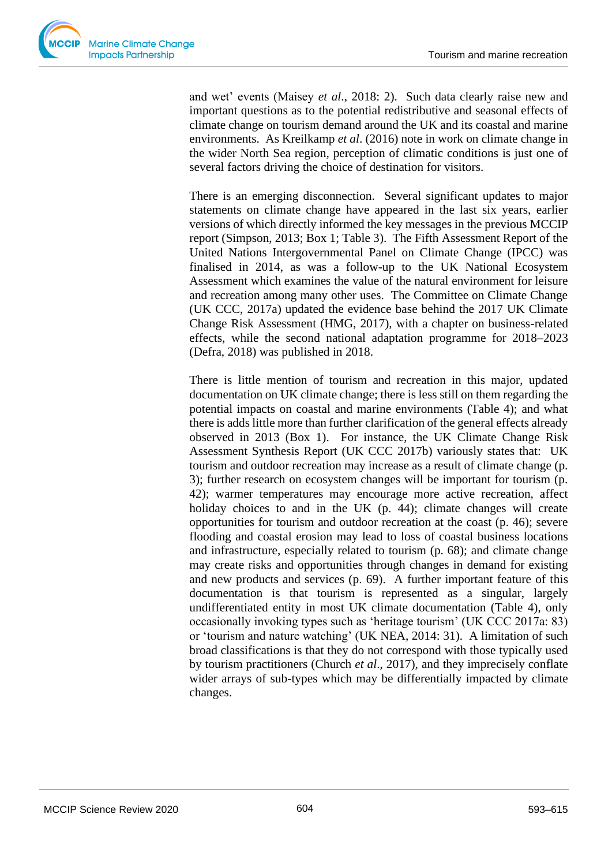

and wet' events (Maisey *et al*., 2018: 2). Such data clearly raise new and important questions as to the potential redistributive and seasonal effects of climate change on tourism demand around the UK and its coastal and marine environments. As Kreilkamp *et al*. (2016) note in work on climate change in the wider North Sea region, perception of climatic conditions is just one of several factors driving the choice of destination for visitors.

There is an emerging disconnection. Several significant updates to major statements on climate change have appeared in the last six years, earlier versions of which directly informed the key messages in the previous MCCIP report (Simpson, 2013; Box 1; Table 3). The Fifth Assessment Report of the United Nations Intergovernmental Panel on Climate Change (IPCC) was finalised in 2014, as was a follow-up to the UK National Ecosystem Assessment which examines the value of the natural environment for leisure and recreation among many other uses. The Committee on Climate Change (UK CCC, 2017a) updated the evidence base behind the 2017 UK Climate Change Risk Assessment (HMG, 2017), with a chapter on business-related effects, while the second national adaptation programme for 2018–2023 (Defra, 2018) was published in 2018.

There is little mention of tourism and recreation in this major, updated documentation on UK climate change; there is less still on them regarding the potential impacts on coastal and marine environments (Table 4); and what there is adds little more than further clarification of the general effects already observed in 2013 (Box 1). For instance, the UK Climate Change Risk Assessment Synthesis Report (UK CCC 2017b) variously states that: UK tourism and outdoor recreation may increase as a result of climate change (p. 3); further research on ecosystem changes will be important for tourism (p. 42); warmer temperatures may encourage more active recreation, affect holiday choices to and in the UK (p. 44); climate changes will create opportunities for tourism and outdoor recreation at the coast (p. 46); severe flooding and coastal erosion may lead to loss of coastal business locations and infrastructure, especially related to tourism (p. 68); and climate change may create risks and opportunities through changes in demand for existing and new products and services (p. 69). A further important feature of this documentation is that tourism is represented as a singular, largely undifferentiated entity in most UK climate documentation (Table 4), only occasionally invoking types such as 'heritage tourism' (UK CCC 2017a: 83) or 'tourism and nature watching' (UK NEA, 2014: 31). A limitation of such broad classifications is that they do not correspond with those typically used by tourism practitioners (Church *et al*., 2017), and they imprecisely conflate wider arrays of sub-types which may be differentially impacted by climate changes.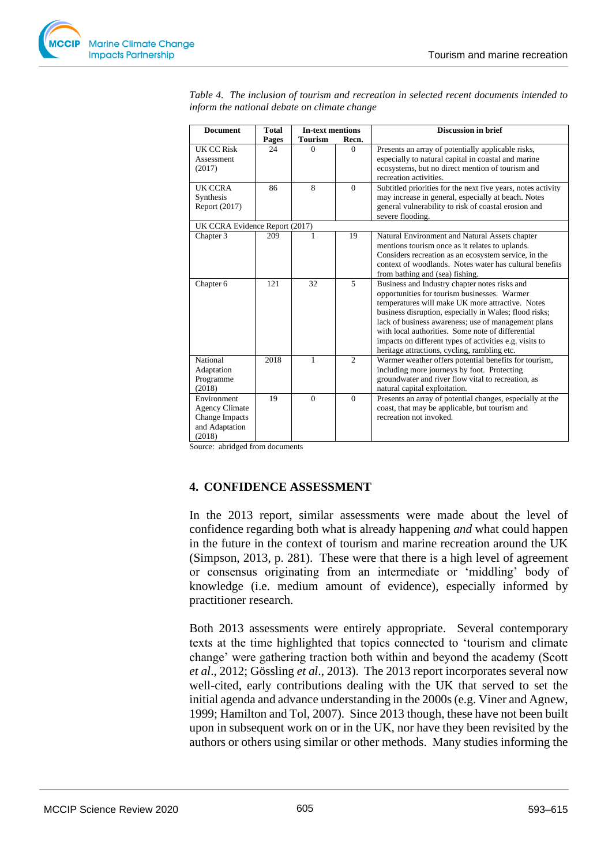

| <b>Document</b>                                                                    | <b>Total</b> | <b>In-text mentions</b> |          | <b>Discussion in brief</b>                                                                                                                                                                                                                                                                                                                                                                                                         |  |  |  |
|------------------------------------------------------------------------------------|--------------|-------------------------|----------|------------------------------------------------------------------------------------------------------------------------------------------------------------------------------------------------------------------------------------------------------------------------------------------------------------------------------------------------------------------------------------------------------------------------------------|--|--|--|
|                                                                                    | Pages        | <b>Tourism</b>          | Recn.    |                                                                                                                                                                                                                                                                                                                                                                                                                                    |  |  |  |
| UK CC Risk<br>Assessment<br>(2017)                                                 | 24           | $\Omega$                | $\Omega$ | Presents an array of potentially applicable risks,<br>especially to natural capital in coastal and marine<br>ecosystems, but no direct mention of tourism and<br>recreation activities.                                                                                                                                                                                                                                            |  |  |  |
| UK CCRA<br>Synthesis<br>Report (2017)                                              | 86           | 8                       | $\Omega$ | Subtitled priorities for the next five years, notes activity<br>may increase in general, especially at beach. Notes<br>general vulnerability to risk of coastal erosion and<br>severe flooding.                                                                                                                                                                                                                                    |  |  |  |
| UK CCRA Evidence Report (2017)                                                     |              |                         |          |                                                                                                                                                                                                                                                                                                                                                                                                                                    |  |  |  |
| Chapter 3                                                                          | 209          |                         | 19       | Natural Environment and Natural Assets chapter<br>mentions tourism once as it relates to uplands.<br>Considers recreation as an ecosystem service, in the<br>context of woodlands. Notes water has cultural benefits<br>from bathing and (sea) fishing.                                                                                                                                                                            |  |  |  |
| Chapter 6                                                                          | 121          | 32                      | 5        | Business and Industry chapter notes risks and<br>opportunities for tourism businesses. Warmer<br>temperatures will make UK more attractive. Notes<br>business disruption, especially in Wales; flood risks;<br>lack of business awareness; use of management plans<br>with local authorities. Some note of differential<br>impacts on different types of activities e.g. visits to<br>heritage attractions, cycling, rambling etc. |  |  |  |
| National<br>Adaptation<br>Programme<br>(2018)                                      | 2018         | 1                       | 2        | Warmer weather offers potential benefits for tourism,<br>including more journeys by foot. Protecting<br>groundwater and river flow vital to recreation, as<br>natural capital exploitation.                                                                                                                                                                                                                                        |  |  |  |
| Environment<br><b>Agency Climate</b><br>Change Impacts<br>and Adaptation<br>(2018) | 19           | $\theta$                | $\theta$ | Presents an array of potential changes, especially at the<br>coast, that may be applicable, but tourism and<br>recreation not invoked.                                                                                                                                                                                                                                                                                             |  |  |  |

*Table 4. The inclusion of tourism and recreation in selected recent documents intended to inform the national debate on climate change*

Source: abridged from documents

#### **4. CONFIDENCE ASSESSMENT**

In the 2013 report, similar assessments were made about the level of confidence regarding both what is already happening *and* what could happen in the future in the context of tourism and marine recreation around the UK (Simpson, 2013, p. 281). These were that there is a high level of agreement or consensus originating from an intermediate or 'middling' body of knowledge (i.e. medium amount of evidence), especially informed by practitioner research.

Both 2013 assessments were entirely appropriate. Several contemporary texts at the time highlighted that topics connected to 'tourism and climate change' were gathering traction both within and beyond the academy (Scott *et al*., 2012; Gössling *et al*., 2013). The 2013 report incorporates several now well-cited, early contributions dealing with the UK that served to set the initial agenda and advance understanding in the 2000s (e.g. Viner and Agnew, 1999; Hamilton and Tol, 2007). Since 2013 though, these have not been built upon in subsequent work on or in the UK, nor have they been revisited by the authors or others using similar or other methods. Many studies informing the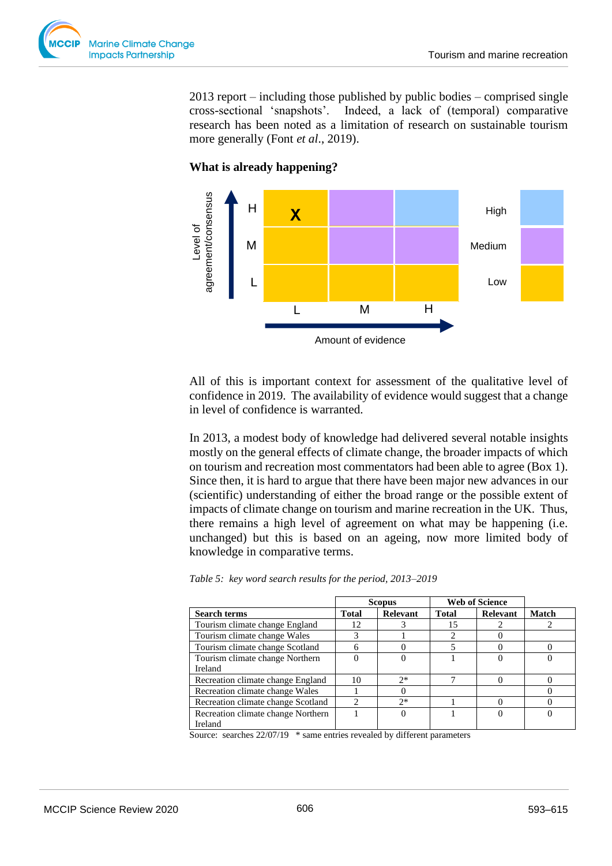

2013 report – including those published by public bodies – comprised single cross-sectional 'snapshots'. Indeed, a lack of (temporal) comparative research has been noted as a limitation of research on sustainable tourism more generally (Font *et al*., 2019).

### **What is already happening?**



All of this is important context for assessment of the qualitative level of confidence in 2019. The availability of evidence would suggest that a change in level of confidence is warranted.

In 2013, a modest body of knowledge had delivered several notable insights mostly on the general effects of climate change, the broader impacts of which on tourism and recreation most commentators had been able to agree (Box 1). Since then, it is hard to argue that there have been major new advances in our (scientific) understanding of either the broad range or the possible extent of impacts of climate change on tourism and marine recreation in the UK. Thus, there remains a high level of agreement on what may be happening (i.e. unchanged) but this is based on an ageing, now more limited body of knowledge in comparative terms.

|  |  |  |  |  |  | Table 5: key word search results for the period, 2013-2019 |
|--|--|--|--|--|--|------------------------------------------------------------|
|--|--|--|--|--|--|------------------------------------------------------------|

|                                    |                | <b>Scopus</b>   | <b>Web of Science</b> |          |       |
|------------------------------------|----------------|-----------------|-----------------------|----------|-------|
| <b>Search terms</b>                | Total          | <b>Relevant</b> | <b>Total</b>          | Relevant | Match |
| Tourism climate change England     | 12             |                 | 15                    |          |       |
| Tourism climate change Wales       | 3              |                 |                       |          |       |
| Tourism climate change Scotland    |                |                 |                       |          |       |
| Tourism climate change Northern    |                |                 |                       |          |       |
| Ireland                            |                |                 |                       |          |       |
| Recreation climate change England  | 10             | $2*$            |                       |          |       |
| Recreation climate change Wales    |                |                 |                       |          |       |
| Recreation climate change Scotland | $\mathfrak{D}$ | $2*$            |                       |          |       |
| Recreation climate change Northern |                |                 |                       |          |       |
| Ireland                            |                |                 |                       |          |       |

Source: searches 22/07/19 \* same entries revealed by different parameters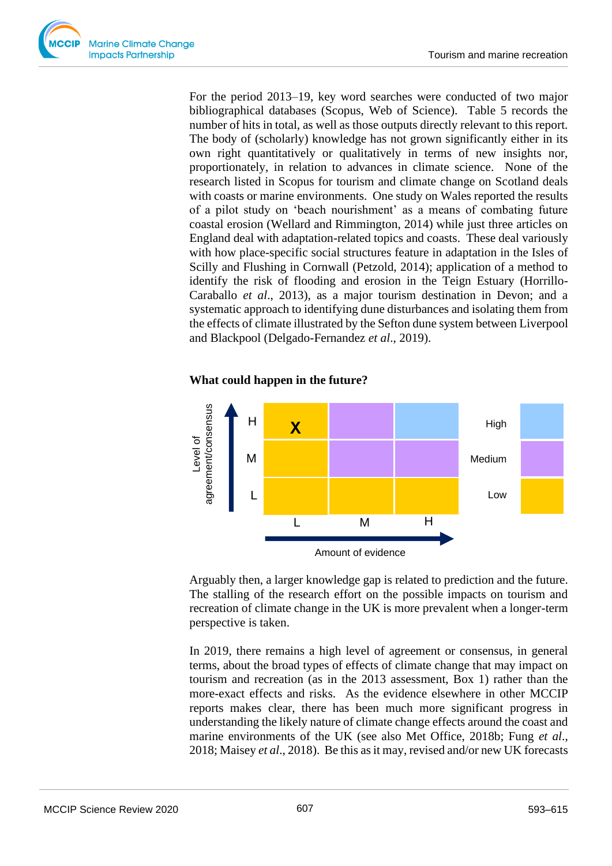

For the period 2013–19, key word searches were conducted of two major bibliographical databases (Scopus, Web of Science). Table 5 records the number of hits in total, as well as those outputs directly relevant to this report. The body of (scholarly) knowledge has not grown significantly either in its own right quantitatively or qualitatively in terms of new insights nor, proportionately, in relation to advances in climate science. None of the research listed in Scopus for tourism and climate change on Scotland deals with coasts or marine environments. One study on Wales reported the results of a pilot study on 'beach nourishment' as a means of combating future coastal erosion (Wellard and Rimmington, 2014) while just three articles on England deal with adaptation-related topics and coasts. These deal variously with how place-specific social structures feature in adaptation in the Isles of Scilly and Flushing in Cornwall (Petzold, 2014); application of a method to identify the risk of flooding and erosion in the Teign Estuary (Horrillo-Caraballo *et al*., 2013), as a major tourism destination in Devon; and a systematic approach to identifying dune disturbances and isolating them from the effects of climate illustrated by the Sefton dune system between Liverpool and Blackpool (Delgado-Fernandez *et al*., 2019).

#### **What could happen in the future?**



Arguably then, a larger knowledge gap is related to prediction and the future. The stalling of the research effort on the possible impacts on tourism and recreation of climate change in the UK is more prevalent when a longer-term perspective is taken.

In 2019, there remains a high level of agreement or consensus, in general terms, about the broad types of effects of climate change that may impact on tourism and recreation (as in the 2013 assessment, Box 1) rather than the more-exact effects and risks. As the evidence elsewhere in other MCCIP reports makes clear, there has been much more significant progress in understanding the likely nature of climate change effects around the coast and marine environments of the UK (see also Met Office, 2018b; Fung *et al*., 2018; Maisey *et al*., 2018). Be this as it may, revised and/or new UK forecasts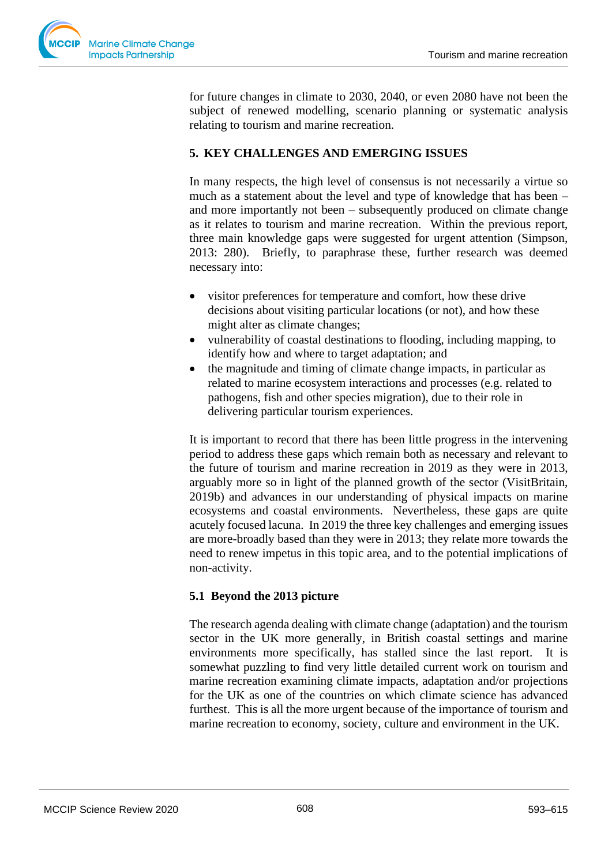

for future changes in climate to 2030, 2040, or even 2080 have not been the subject of renewed modelling, scenario planning or systematic analysis relating to tourism and marine recreation.

# **5. KEY CHALLENGES AND EMERGING ISSUES**

In many respects, the high level of consensus is not necessarily a virtue so much as a statement about the level and type of knowledge that has been – and more importantly not been – subsequently produced on climate change as it relates to tourism and marine recreation. Within the previous report, three main knowledge gaps were suggested for urgent attention (Simpson, 2013: 280). Briefly, to paraphrase these, further research was deemed necessary into:

- visitor preferences for temperature and comfort, how these drive decisions about visiting particular locations (or not), and how these might alter as climate changes;
- vulnerability of coastal destinations to flooding, including mapping, to identify how and where to target adaptation; and
- the magnitude and timing of climate change impacts, in particular as related to marine ecosystem interactions and processes (e.g. related to pathogens, fish and other species migration), due to their role in delivering particular tourism experiences.

It is important to record that there has been little progress in the intervening period to address these gaps which remain both as necessary and relevant to the future of tourism and marine recreation in 2019 as they were in 2013, arguably more so in light of the planned growth of the sector (VisitBritain, 2019b) and advances in our understanding of physical impacts on marine ecosystems and coastal environments. Nevertheless, these gaps are quite acutely focused lacuna. In 2019 the three key challenges and emerging issues are more-broadly based than they were in 2013; they relate more towards the need to renew impetus in this topic area, and to the potential implications of non-activity.

# **5.1 Beyond the 2013 picture**

The research agenda dealing with climate change (adaptation) and the tourism sector in the UK more generally, in British coastal settings and marine environments more specifically, has stalled since the last report. It is somewhat puzzling to find very little detailed current work on tourism and marine recreation examining climate impacts, adaptation and/or projections for the UK as one of the countries on which climate science has advanced furthest. This is all the more urgent because of the importance of tourism and marine recreation to economy, society, culture and environment in the UK.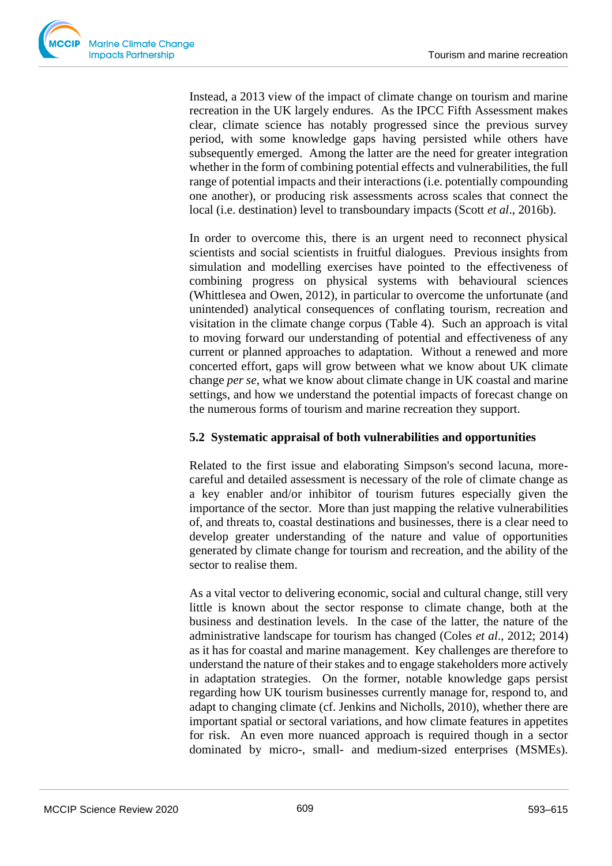

Instead, a 2013 view of the impact of climate change on tourism and marine recreation in the UK largely endures. As the IPCC Fifth Assessment makes clear, climate science has notably progressed since the previous survey period, with some knowledge gaps having persisted while others have subsequently emerged. Among the latter are the need for greater integration whether in the form of combining potential effects and vulnerabilities, the full range of potential impacts and their interactions (i.e. potentially compounding one another), or producing risk assessments across scales that connect the local (i.e. destination) level to transboundary impacts (Scott *et al*., 2016b).

In order to overcome this, there is an urgent need to reconnect physical scientists and social scientists in fruitful dialogues. Previous insights from simulation and modelling exercises have pointed to the effectiveness of combining progress on physical systems with behavioural sciences (Whittlesea and Owen, 2012), in particular to overcome the unfortunate (and unintended) analytical consequences of conflating tourism, recreation and visitation in the climate change corpus (Table 4). Such an approach is vital to moving forward our understanding of potential and effectiveness of any current or planned approaches to adaptation. Without a renewed and more concerted effort, gaps will grow between what we know about UK climate change *per se*, what we know about climate change in UK coastal and marine settings, and how we understand the potential impacts of forecast change on the numerous forms of tourism and marine recreation they support.

# **5.2 Systematic appraisal of both vulnerabilities and opportunities**

Related to the first issue and elaborating Simpson's second lacuna, morecareful and detailed assessment is necessary of the role of climate change as a key enabler and/or inhibitor of tourism futures especially given the importance of the sector. More than just mapping the relative vulnerabilities of, and threats to, coastal destinations and businesses, there is a clear need to develop greater understanding of the nature and value of opportunities generated by climate change for tourism and recreation, and the ability of the sector to realise them.

As a vital vector to delivering economic, social and cultural change, still very little is known about the sector response to climate change, both at the business and destination levels. In the case of the latter, the nature of the administrative landscape for tourism has changed (Coles *et al*., 2012; 2014) as it has for coastal and marine management. Key challenges are therefore to understand the nature of their stakes and to engage stakeholders more actively in adaptation strategies. On the former, notable knowledge gaps persist regarding how UK tourism businesses currently manage for, respond to, and adapt to changing climate (cf. Jenkins and Nicholls, 2010), whether there are important spatial or sectoral variations, and how climate features in appetites for risk. An even more nuanced approach is required though in a sector dominated by micro-, small- and medium-sized enterprises (MSMEs).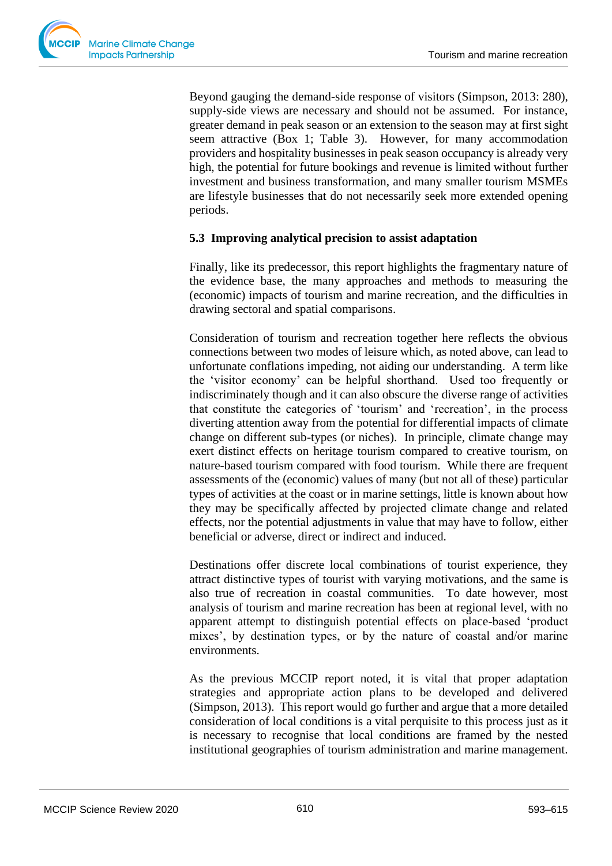Beyond gauging the demand-side response of visitors (Simpson, 2013: 280), supply-side views are necessary and should not be assumed. For instance, greater demand in peak season or an extension to the season may at first sight seem attractive (Box 1; Table 3). However, for many accommodation providers and hospitality businesses in peak season occupancy is already very high, the potential for future bookings and revenue is limited without further investment and business transformation, and many smaller tourism MSMEs are lifestyle businesses that do not necessarily seek more extended opening periods.

# **5.3 Improving analytical precision to assist adaptation**

Finally, like its predecessor, this report highlights the fragmentary nature of the evidence base, the many approaches and methods to measuring the (economic) impacts of tourism and marine recreation, and the difficulties in drawing sectoral and spatial comparisons.

Consideration of tourism and recreation together here reflects the obvious connections between two modes of leisure which, as noted above, can lead to unfortunate conflations impeding, not aiding our understanding. A term like the 'visitor economy' can be helpful shorthand. Used too frequently or indiscriminately though and it can also obscure the diverse range of activities that constitute the categories of 'tourism' and 'recreation', in the process diverting attention away from the potential for differential impacts of climate change on different sub-types (or niches). In principle, climate change may exert distinct effects on heritage tourism compared to creative tourism, on nature-based tourism compared with food tourism. While there are frequent assessments of the (economic) values of many (but not all of these) particular types of activities at the coast or in marine settings, little is known about how they may be specifically affected by projected climate change and related effects, nor the potential adjustments in value that may have to follow, either beneficial or adverse, direct or indirect and induced.

Destinations offer discrete local combinations of tourist experience, they attract distinctive types of tourist with varying motivations, and the same is also true of recreation in coastal communities. To date however, most analysis of tourism and marine recreation has been at regional level, with no apparent attempt to distinguish potential effects on place-based 'product mixes', by destination types, or by the nature of coastal and/or marine environments.

As the previous MCCIP report noted, it is vital that proper adaptation strategies and appropriate action plans to be developed and delivered (Simpson, 2013). This report would go further and argue that a more detailed consideration of local conditions is a vital perquisite to this process just as it is necessary to recognise that local conditions are framed by the nested institutional geographies of tourism administration and marine management.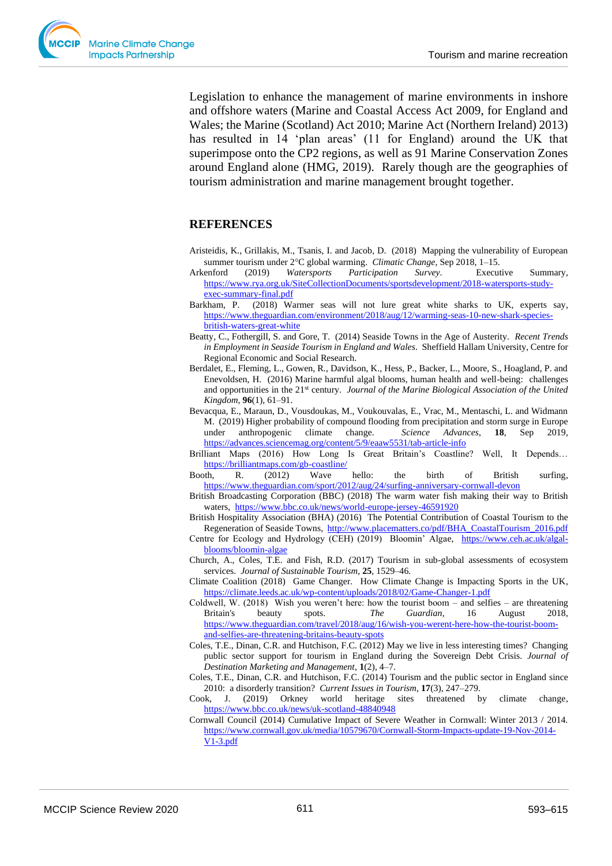Legislation to enhance the management of marine environments in inshore and offshore waters (Marine and Coastal Access Act 2009, for England and Wales; the Marine (Scotland) Act 2010; Marine Act (Northern Ireland) 2013) has resulted in 14 'plan areas' (11 for England) around the UK that superimpose onto the CP2 regions, as well as 91 Marine Conservation Zones around England alone (HMG, 2019). Rarely though are the geographies of tourism administration and marine management brought together.

# **REFERENCES**

- Aristeidis, K., Grillakis, M., Tsanis, I. and Jacob, D. (2018) Mapping the vulnerability of European summer tourism under 2°C global warming. *Climatic Change*, Sep 2018, 1-15.
- Arkenford (2019) *Watersports Participation Survey*. Executive Summary, [https://www.rya.org.uk/SiteCollectionDocuments/sportsdevelopment/2018-watersports-study](https://www.rya.org.uk/SiteCollectionDocuments/sportsdevelopment/2018-watersports-study-exec-summary-final.pdf)[exec-summary-final.pdf](https://www.rya.org.uk/SiteCollectionDocuments/sportsdevelopment/2018-watersports-study-exec-summary-final.pdf)
- Barkham, P. (2018) Warmer seas will not lure great white sharks to UK, experts say, [https://www.theguardian.com/environment/2018/aug/12/warming-seas-10-new-shark-species](https://www.theguardian.com/environment/2018/aug/12/warming-seas-10-new-shark-species-british-waters-great-white)[british-waters-great-white](https://www.theguardian.com/environment/2018/aug/12/warming-seas-10-new-shark-species-british-waters-great-white)
- Beatty, C., Fothergill, S. and Gore, T. (2014) Seaside Towns in the Age of Austerity. *Recent Trends in Employment in Seaside Tourism in England and Wales*. Sheffield Hallam University, Centre for Regional Economic and Social Research.
- Berdalet, E., Fleming, L., Gowen, R., Davidson, K., Hess, P., Backer, L., Moore, S., Hoagland, P. and Enevoldsen, H. (2016) Marine harmful algal blooms, human health and well-being: challenges and opportunities in the 21<sup>st</sup> century. *Journal of the Marine Biological Association of the United Kingdom*, **96**(1), 61–91.
- Bevacqua, E., Maraun, D., Vousdoukas, M., Voukouvalas, E., Vrac, M., Mentaschi, L. and Widmann M. (2019) Higher probability of compound flooding from precipitation and storm surge in Europe under anthropogenic climate change. *Science Advances*, **18**, Sep 2019, <https://advances.sciencemag.org/content/5/9/eaaw5531/tab-article-info>
- Brilliant Maps (2016) How Long Is Great Britain's Coastline? Well, It Depends… <https://brilliantmaps.com/gb-coastline/>
- Booth, R. (2012) Wave hello: the birth of British surfing, <https://www.theguardian.com/sport/2012/aug/24/surfing-anniversary-cornwall-devon>
- British Broadcasting Corporation (BBC) (2018) The warm water fish making their way to British waters,<https://www.bbc.co.uk/news/world-europe-jersey-46591920>
- British Hospitality Association (BHA) (2016) The Potential Contribution of Coastal Tourism to the Regeneration of Seaside Towns, [http://www.placematters.co/pdf/BHA\\_CoastalTourism\\_2016.pdf](http://www.placematters.co/pdf/BHA_CoastalTourism_2016.pdf)
- Centre for Ecology and Hydrology (CEH) (2019) Bloomin' Algae, [https://www.ceh.ac.uk/algal](https://www.ceh.ac.uk/algal-blooms/bloomin-algae)[blooms/bloomin-algae](https://www.ceh.ac.uk/algal-blooms/bloomin-algae)
- Church, A., Coles, T.E. and Fish, R.D. (2017) Tourism in sub-global assessments of ecosystem services. *Journal of Sustainable Tourism*, **25**, 1529–46.
- Climate Coalition (2018) Game Changer. How Climate Change is Impacting Sports in the UK, <https://climate.leeds.ac.uk/wp-content/uploads/2018/02/Game-Changer-1.pdf>
- Coldwell, W. (2018) Wish you weren't here: how the tourist boom and selfies are threatening Britain's beauty spots. *The Guardian*, 16 August 2018, [https://www.theguardian.com/travel/2018/aug/16/wish-you-werent-here-how-the-tourist-boom](https://www.theguardian.com/travel/2018/aug/16/wish-you-werent-here-how-the-tourist-boom-and-selfies-are-threatening-britains-beauty-spots)[and-selfies-are-threatening-britains-beauty-spots](https://www.theguardian.com/travel/2018/aug/16/wish-you-werent-here-how-the-tourist-boom-and-selfies-are-threatening-britains-beauty-spots)
- Coles, T.E., Dinan, C.R. and Hutchison, F.C. (2012) May we live in less interesting times? Changing public sector support for tourism in England during the Sovereign Debt Crisis. *Journal of Destination Marketing and Management*, **1**(2), 4–7.
- Coles, T.E., Dinan, C.R. and Hutchison, F.C. (2014) Tourism and the public sector in England since 2010: a disorderly transition? *Current Issues in Tourism*, **17**(3), 247–279.
- Cook, J. (2019) Orkney world heritage sites threatened by climate change, <https://www.bbc.co.uk/news/uk-scotland-48840948>
- Cornwall Council (2014) Cumulative Impact of Severe Weather in Cornwall: Winter 2013 / 2014. [https://www.cornwall.gov.uk/media/10579670/Cornwall-Storm-Impacts-update-19-Nov-2014-](https://www.cornwall.gov.uk/media/10579670/Cornwall-Storm-Impacts-update-19-Nov-2014-V1-3.pdf) [V1-3.pdf](https://www.cornwall.gov.uk/media/10579670/Cornwall-Storm-Impacts-update-19-Nov-2014-V1-3.pdf)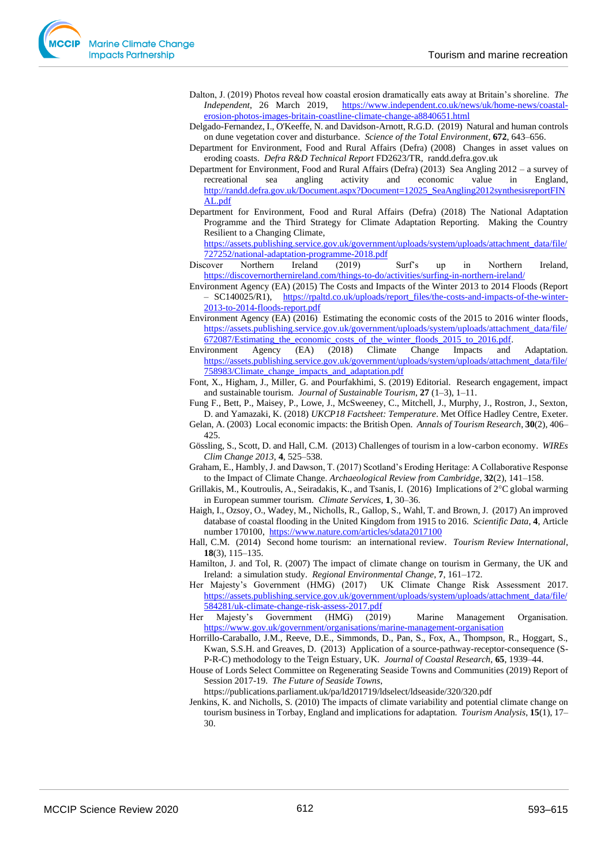- Dalton, J. (2019) Photos reveal how coastal erosion dramatically eats away at Britain's shoreline. *The Independent*, 26 March 2019, [https://www.independent.co.uk/news/uk/home-news/coastal](https://www.independent.co.uk/news/uk/home-news/coastal-erosion-photos-images-britain-coastline-climate-change-a8840651.html)[erosion-photos-images-britain-coastline-climate-change-a8840651.html](https://www.independent.co.uk/news/uk/home-news/coastal-erosion-photos-images-britain-coastline-climate-change-a8840651.html)
- Delgado-Fernandez, I., O'Keeffe, N. and Davidson-Arnott, R.G.D. (2019) [Natural and human controls](https://eur03.safelinks.protection.outlook.com/?url=https%3A%2F%2Fwww.scopus.com%2Frecord%2Fdisplay.uri%3Feid%3D2-s2.0-85063805697%26origin%3Dresultslist&data=02%7C01%7CT.E.Coles%40exeter.ac.uk%7C1dc3d60f32b248cda8ee08d714392b16%7C912a5d77fb984eeeaf321334d8f04a53%7C0%7C0%7C637000108073262663&sdata=TldvTER0qDH3e2xzgOH%2F6Z9kUjlrp%2Bju87aJojbjFpc%3D&reserved=0)  [on dune vegetation cover and disturbance.](https://eur03.safelinks.protection.outlook.com/?url=https%3A%2F%2Fwww.scopus.com%2Frecord%2Fdisplay.uri%3Feid%3D2-s2.0-85063805697%26origin%3Dresultslist&data=02%7C01%7CT.E.Coles%40exeter.ac.uk%7C1dc3d60f32b248cda8ee08d714392b16%7C912a5d77fb984eeeaf321334d8f04a53%7C0%7C0%7C637000108073262663&sdata=TldvTER0qDH3e2xzgOH%2F6Z9kUjlrp%2Bju87aJojbjFpc%3D&reserved=0) *Science of the Total Environment*, **672**, 643–656.
- Department for Environment, Food and Rural Affairs (Defra) (2008) Changes in asset values on eroding coasts. *Defra R&D Technical Report* FD2623/TR, randd.defra.gov.uk
- Department for Environment, Food and Rural Affairs (Defra) (2013) Sea Angling 2012 a survey of recreational sea angling activity and economic value in England, [http://randd.defra.gov.uk/Document.aspx?Document=12025\\_SeaAngling2012synthesisreportFIN](http://randd.defra.gov.uk/Document.aspx?Document=12025_SeaAngling2012synthesisreportFINAL.pdf) [AL.pdf](http://randd.defra.gov.uk/Document.aspx?Document=12025_SeaAngling2012synthesisreportFINAL.pdf)
- Department for Environment, Food and Rural Affairs (Defra) (2018) The National Adaptation Programme and the Third Strategy for Climate Adaptation Reporting. Making the Country Resilient to a Changing Climate,

[https://assets.publishing.service.gov.uk/government/uploads/system/uploads/attachment\\_data/file/](https://assets.publishing.service.gov.uk/government/uploads/system/uploads/attachment_data/file/727252/national-adaptation-programme-2018.pdf) [727252/national-adaptation-programme-2018.pdf](https://assets.publishing.service.gov.uk/government/uploads/system/uploads/attachment_data/file/727252/national-adaptation-programme-2018.pdf)

- Discover Northern Ireland (2019) Surf's up in Northern Ireland, <https://discovernorthernireland.com/things-to-do/activities/surfing-in-northern-ireland/>
- Environment Agency (EA) (2015) The Costs and Impacts of the Winter 2013 to 2014 Floods (Report – SC140025/R1), [https://rpaltd.co.uk/uploads/report\\_files/the-costs-and-impacts-of-the-winter-](https://rpaltd.co.uk/uploads/report_files/the-costs-and-impacts-of-the-winter-2013-to-2014-floods-report.pdf)[2013-to-2014-floods-report.pdf](https://rpaltd.co.uk/uploads/report_files/the-costs-and-impacts-of-the-winter-2013-to-2014-floods-report.pdf)
- Environment Agency (EA) (2016) Estimating the economic costs of the 2015 to 2016 winter floods, [https://assets.publishing.service.gov.uk/government/uploads/system/uploads/attachment\\_data/file/](https://assets.publishing.service.gov.uk/government/uploads/system/uploads/attachment_data/file/672087/Estimating_the_economic_costs_of_the_winter_floods_2015_to_2016.pdf) [672087/Estimating\\_the\\_economic\\_costs\\_of\\_the\\_winter\\_floods\\_2015\\_to\\_2016.pdf.](https://assets.publishing.service.gov.uk/government/uploads/system/uploads/attachment_data/file/672087/Estimating_the_economic_costs_of_the_winter_floods_2015_to_2016.pdf)
- Environment Agency (EA) (2018) Climate Change Impacts and Adaptation. [https://assets.publishing.service.gov.uk/government/uploads/system/uploads/attachment\\_data/file/](https://assets.publishing.service.gov.uk/government/uploads/system/uploads/attachment_data/file/758983/Climate_change_impacts_and_adaptation.pdf) [758983/Climate\\_change\\_impacts\\_and\\_adaptation.pdf](https://assets.publishing.service.gov.uk/government/uploads/system/uploads/attachment_data/file/758983/Climate_change_impacts_and_adaptation.pdf)
- Font, X., Higham, J., Miller, G. and Pourfakhimi, S. (2019) Editorial. Research engagement, impact and sustainable tourism. *Journal of Sustainable Tourism*, **27** (1–3), 1–11.
- Fung F., Bett, P., Maisey, P., Lowe, J., McSweeney, C., Mitchell, J., Murphy, J., Rostron, J., Sexton, D. and Yamazaki, K. (2018) *UKCP18 Factsheet: Temperature*. Met Office Hadley Centre, Exeter.
- Gelan, A. (2003) Local economic impacts: the British Open. *Annals of Tourism Research*, **30**(2), 406– 425.
- Gössling, S., Scott, D. and Hall, C.M. (2013) Challenges of tourism in a low-carbon economy. *WIREs Clim Change 2013*, **4**, 525–538.
- Graham, E., Hambly, J. and Dawson, T. (2017) Scotland's Eroding Heritage: A Collaborative Response to the Impact of Climate Change. *Archaeological Review from Cambridge*, **32**(2), 141–158.
- Grillakis, M., Koutroulis, A., Seiradakis, K., and Tsanis, I. (2016) Implications of  $2^{\circ}C$  global warming in European summer tourism. *Climate Services*, **1**, 30–36.
- Haigh, I., Ozsoy, O., Wadey, M., Nicholls, R., Gallop, S., Wahl, T. and Brown, J. (2017) An improved database of coastal flooding in the United Kingdom from 1915 to 2016. *Scientific Data*, **4**, Article number 170100, <https://www.nature.com/articles/sdata2017100>
- Hall, C.M. (2014) Second home tourism: an international review. *Tourism Review International*, **18**(3), 115–135.
- Hamilton, J. and Tol, R. (2007) The impact of climate change on tourism in Germany, the UK and Ireland: a simulation study. *Regional Environmental Change*, **7**, 161–172.
- Her Majesty's Government (HMG) (2017) UK Climate Change Risk Assessment 2017. [https://assets.publishing.service.gov.uk/government/uploads/system/uploads/attachment\\_data/file/](https://assets.publishing.service.gov.uk/government/uploads/system/uploads/attachment_data/file/584281/uk-climate-change-risk-assess-2017.pdf) [584281/uk-climate-change-risk-assess-2017.pdf](https://assets.publishing.service.gov.uk/government/uploads/system/uploads/attachment_data/file/584281/uk-climate-change-risk-assess-2017.pdf)
- Her Majesty's Government (HMG) (2019) Marine Management Organisation. <https://www.gov.uk/government/organisations/marine-management-organisation>
- Horrillo-Caraballo, J.M., Reeve, D.E., Simmonds, D., Pan, S., Fox, A., Thompson, R., Hoggart, S., Kwan, S.S.H. and Greaves, D. (2013) [Application of a source-pathway-receptor-consequence \(S-](https://eur03.safelinks.protection.outlook.com/?url=https%3A%2F%2Fwww.scopus.com%2Frecord%2Fdisplay.uri%3Feid%3D2-s2.0-84883816855%26origin%3Dresultslist&data=02%7C01%7CT.E.Coles%40exeter.ac.uk%7C0fc99287fe0a401555ec08d714388752%7C912a5d77fb984eeeaf321334d8f04a53%7C0%7C0%7C637000105337866795&sdata=V5Rn1iLCigXqpTXKkodMfRsQ4U5hzHutK3Y1yg9JQ7g%3D&reserved=0)[P-R-C\) methodology to the Teign Estuary, UK.](https://eur03.safelinks.protection.outlook.com/?url=https%3A%2F%2Fwww.scopus.com%2Frecord%2Fdisplay.uri%3Feid%3D2-s2.0-84883816855%26origin%3Dresultslist&data=02%7C01%7CT.E.Coles%40exeter.ac.uk%7C0fc99287fe0a401555ec08d714388752%7C912a5d77fb984eeeaf321334d8f04a53%7C0%7C0%7C637000105337866795&sdata=V5Rn1iLCigXqpTXKkodMfRsQ4U5hzHutK3Y1yg9JQ7g%3D&reserved=0) *Journal of Coastal Research*, **65**, 1939–44.
- House of Lords Select Committee on Regenerating Seaside Towns and Communities (2019) Report of Session 2017-19. *The Future of Seaside Towns*,
	- https://publications.parliament.uk/pa/ld201719/ldselect/ldseaside/320/320.pdf
- Jenkins, K. and Nicholls, S. (2010) The impacts of climate variability and potential climate change on tourism business in Torbay, England and implications for adaptation. *Tourism Analysis*, **15**(1), 17– 30.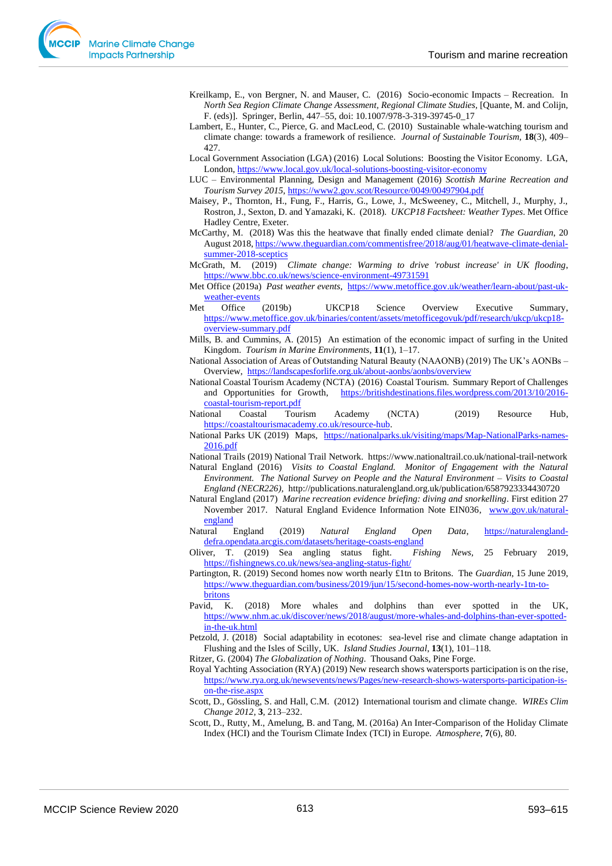- Kreilkamp, E., von Bergner, N. and Mauser, C. (2016) Socio-economic Impacts Recreation. In *North Sea Region Climate Change Assessment, Regional Climate Studies,* [Quante, M. and Colijn, F. (eds)]. Springer, Berlin, 447–55, doi: 10.1007/978-3-319-39745-0\_17
- Lambert, E., Hunter, C., Pierce, G. and MacLeod, C. (2010) Sustainable whale-watching tourism and climate change: towards a framework of resilience. *Journal of Sustainable Tourism,* **18**(3), 409– 427.
- Local Government Association (LGA) (2016) Local Solutions: Boosting the Visitor Economy. LGA, London, <https://www.local.gov.uk/local-solutions-boosting-visitor-economy>
- LUC Environmental Planning, Design and Management (2016) *Scottish Marine Recreation and Tourism Survey 2015*,<https://www2.gov.scot/Resource/0049/00497904.pdf>
- Maisey, P., Thornton, H., Fung, F., Harris, G., Lowe, J., McSweeney, C., Mitchell, J., Murphy, J., Rostron, J., Sexton, D. and Yamazaki, K. (2018). *UKCP18 Factsheet: Weather Types*. Met Office Hadley Centre, Exeter.
- McCarthy, M. (2018) Was this the heatwave that finally ended climate denial? *The Guardian*, 20 August 2018, [https://www.theguardian.com/commentisfree/2018/aug/01/heatwave-climate-denial](https://www.theguardian.com/commentisfree/2018/aug/01/heatwave-climate-denial-summer-2018-sceptics)[summer-2018-sceptics](https://www.theguardian.com/commentisfree/2018/aug/01/heatwave-climate-denial-summer-2018-sceptics)
- McGrath, M. (2019) *Climate change: Warming to drive 'robust increase' in UK flooding*, <https://www.bbc.co.uk/news/science-environment-49731591>
- Met Office (2019a) *Past weather events*, [https://www.metoffice.gov.uk/weather/learn-about/past-uk](https://www.metoffice.gov.uk/weather/learn-about/past-uk-weather-events)[weather-events](https://www.metoffice.gov.uk/weather/learn-about/past-uk-weather-events)
- Met Office (2019b) UKCP18 Science Overview Executive Summary, [https://www.metoffice.gov.uk/binaries/content/assets/metofficegovuk/pdf/research/ukcp/ukcp18](https://www.metoffice.gov.uk/binaries/content/assets/metofficegovuk/pdf/research/ukcp/ukcp18-overview-summary.pdf) [overview-summary.pdf](https://www.metoffice.gov.uk/binaries/content/assets/metofficegovuk/pdf/research/ukcp/ukcp18-overview-summary.pdf)
- Mills, B. and Cummins, A. (2015) An estimation of the economic impact of surfing in the United Kingdom. *Tourism in Marine Environments*, **11**(1), 1–17.
- National Association of Areas of Outstanding Natural Beauty (NAAONB) (2019) The UK's AONBs Overview,<https://landscapesforlife.org.uk/about-aonbs/aonbs/overview>
- National Coastal Tourism Academy (NCTA) (2016) Coastal Tourism. Summary Report of Challenges and Opportunities for Growth, [https://britishdestinations.files.wordpress.com/2013/10/2016](https://britishdestinations.files.wordpress.com/2013/10/2016-coastal-tourism-report.pdf) [coastal-tourism-report.pdf](https://britishdestinations.files.wordpress.com/2013/10/2016-coastal-tourism-report.pdf)
- National Coastal Tourism Academy (NCTA) (2019) Resource Hub, [https://coastaltourismacademy.co.uk/resource-hub.](https://coastaltourismacademy.co.uk/resource-hub)
- National Parks UK (2019) Maps, [https://nationalparks.uk/visiting/maps/Map-NationalParks-names-](https://nationalparks.uk/visiting/maps/Map-NationalParks-names-2016.pdf)[2016.pdf](https://nationalparks.uk/visiting/maps/Map-NationalParks-names-2016.pdf)
- National Trails (2019) National Trail Network. https://www.nationaltrail.co.uk/national-trail-network Natural England (2016) *Visits to Coastal England. Monitor of Engagement with the Natural Environment. The National Survey on People and the Natural Environment – Visits to Coastal*
- *England (NECR226),* http://publications.naturalengland.org.uk/publication/6587923334430720 Natural England (2017) *Marine recreation evidence briefing: diving and snorkelling*. First edition 27 November 2017. Natural England Evidence Information Note EIN036, [www.gov.uk/natural-](http://www.gov.uk/natural-england)
- [england](http://www.gov.uk/natural-england) Natural England (2019) *Natural England Open Data*, [https://naturalengland](https://naturalengland-defra.opendata.arcgis.com/datasets/heritage-coasts-england)[defra.opendata.arcgis.com/datasets/heritage-coasts-england](https://naturalengland-defra.opendata.arcgis.com/datasets/heritage-coasts-england)
- Oliver, T. (2019) Sea angling status fight. *Fishing News,* 25 February 2019, <https://fishingnews.co.uk/news/sea-angling-status-fight/>
- Partington, R. (2019) Second homes now worth nearly £1tn to Britons. The *Guardian*, 15 June 2019, [https://www.theguardian.com/business/2019/jun/15/second-homes-now-worth-nearly-1tn-to](https://www.theguardian.com/business/2019/jun/15/second-homes-now-worth-nearly-1tn-to-britons)[britons](https://www.theguardian.com/business/2019/jun/15/second-homes-now-worth-nearly-1tn-to-britons)
- Pavid, K. (2018) More whales and dolphins than ever spotted in the UK, [https://www.nhm.ac.uk/discover/news/2018/august/more-whales-and-dolphins-than-ever-spotted](https://www.nhm.ac.uk/discover/news/2018/august/more-whales-and-dolphins-than-ever-spotted-in-the-uk.html)[in-the-uk.html](https://www.nhm.ac.uk/discover/news/2018/august/more-whales-and-dolphins-than-ever-spotted-in-the-uk.html)
- Petzold, J. (2018) Social adaptability in ecotones: sea-level rise and climate change adaptation in Flushing and the Isles of Scilly, UK. *Island Studies Journal*, **13**(1), 101–118.
- Ritzer, G. (2004) *The Globalization of Nothing*. Thousand Oaks, Pine Forge.
- Royal Yachting Association (RYA) (2019) New research shows watersports participation is on the rise, [https://www.rya.org.uk/newsevents/news/Pages/new-research-shows-watersports-participation-is](https://www.rya.org.uk/newsevents/news/Pages/new-research-shows-watersports-participation-is-on-the-rise.aspx)[on-the-rise.aspx](https://www.rya.org.uk/newsevents/news/Pages/new-research-shows-watersports-participation-is-on-the-rise.aspx)
- Scott, D., Gössling, S. and Hall, C.M. (2012) International tourism and climate change. *WIREs Clim Change 2012*, **3**, 213–232.
- Scott, D., Rutty, M., Amelung, B. and Tang, M. (2016a) An Inter-Comparison of the Holiday Climate Index (HCI) and the Tourism Climate Index (TCI) in Europe. *Atmosphere*, **7**(6), 80.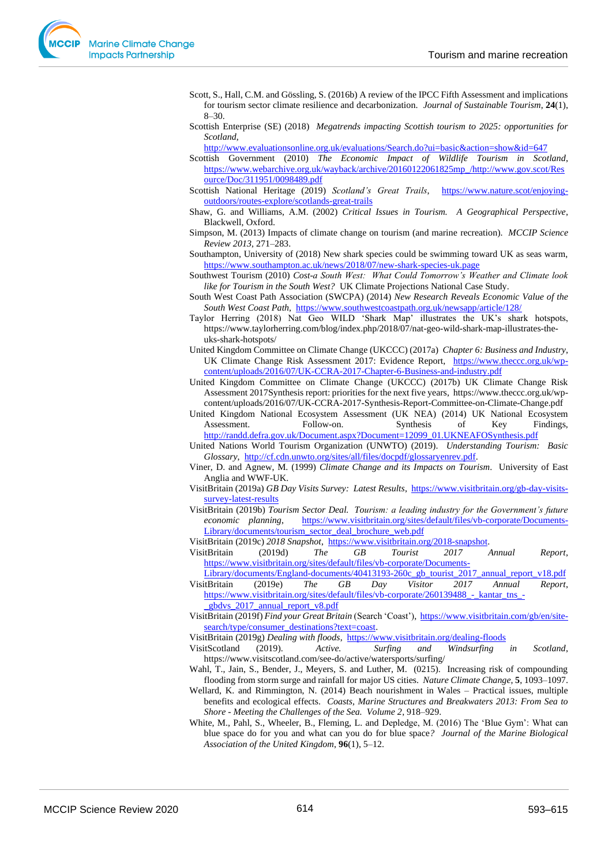- Scott, S., Hall, C.M. and Gössling, S. (2016b) A review of the IPCC Fifth Assessment and implications for tourism sector climate resilience and decarbonization. *Journal of Sustainable Tourism*, **24**(1), 8–30.
- Scottish Enterprise (SE) (2018) *Megatrends impacting Scottish tourism to 2025: opportunities for Scotland*,

<http://www.evaluationsonline.org.uk/evaluations/Search.do?ui=basic&action=show&id=647>

- Scottish Government (2010) *The Economic Impact of Wildlife Tourism in Scotland*, [https://www.webarchive.org.uk/wayback/archive/20160122061825mp\\_/http://www.gov.scot/Res](https://www.webarchive.org.uk/wayback/archive/20160122061825mp_/http:/www.gov.scot/Resource/Doc/311951/0098489.pdf) [ource/Doc/311951/0098489.pdf](https://www.webarchive.org.uk/wayback/archive/20160122061825mp_/http:/www.gov.scot/Resource/Doc/311951/0098489.pdf)
- Scottish National Heritage (2019) *Scotland's Great Trails*, [https://www.nature.scot/enjoying](https://www.nature.scot/enjoying-outdoors/routes-explore/scotlands-great-trails)[outdoors/routes-explore/scotlands-great-trails](https://www.nature.scot/enjoying-outdoors/routes-explore/scotlands-great-trails)
- Shaw, G. and Williams, A.M. (2002) *Critical Issues in Tourism. A Geographical Perspective*, Blackwell, Oxford.
- Simpson, M. (2013) Impacts of climate change on tourism (and marine recreation). *MCCIP Science Review 2013*, 271–283.
- Southampton, University of (2018) New shark species could be swimming toward UK as seas warm, <https://www.southampton.ac.uk/news/2018/07/new-shark-species-uk.page>
- Southwest Tourism (2010) *Cost-a South West: What Could Tomorrow's Weather and Climate look like for Tourism in the South West?* UK Climate Projections National Case Study.
- South West Coast Path Association (SWCPA) (2014) *New Research Reveals Economic Value of the South West Coast Path*, <https://www.southwestcoastpath.org.uk/newsapp/article/128/>
- Taylor Herring (2018) Nat Geo WILD 'Shark Map' illustrates the UK's shark hotspots, https://www.taylorherring.com/blog/index.php/2018/07/nat-geo-wild-shark-map-illustrates-theuks-shark-hotspots/
- United Kingdom Committee on Climate Change (UKCCC) (2017a) *Chapter 6: Business and Industry*, UK Climate Change Risk Assessment 2017: Evidence Report, [https://www.theccc.org.uk/wp](https://www.theccc.org.uk/wp-content/uploads/2016/07/UK-CCRA-2017-Chapter-6-Business-and-industry.pdf)[content/uploads/2016/07/UK-CCRA-2017-Chapter-6-Business-and-industry.pdf](https://www.theccc.org.uk/wp-content/uploads/2016/07/UK-CCRA-2017-Chapter-6-Business-and-industry.pdf)
- United Kingdom Committee on Climate Change (UKCCC) (2017b) UK Climate Change Risk Assessment 2017Synthesis report: priorities for the next five years, https://www.theccc.org.uk/wpcontent/uploads/2016/07/UK-CCRA-2017-Synthesis-Report-Committee-on-Climate-Change.pdf
- United Kingdom National Ecosystem Assessment (UK NEA) (2014) UK National Ecosystem Assessment. Follow-on. Synthesis of Key Findings, [http://randd.defra.gov.uk/Document.aspx?Document=12099\\_01.UKNEAFOSynthesis.pdf](http://randd.defra.gov.uk/Document.aspx?Document=12099_01.UKNEAFOSynthesis.pdf)
- United Nations World Tourism Organization (UNWTO) (2019). *Understanding Tourism: Basic Glossary*, [http://cf.cdn.unwto.org/sites/all/files/docpdf/glossaryenrev.pdf.](http://cf.cdn.unwto.org/sites/all/files/docpdf/glossaryenrev.pdf)
- Viner, D. and Agnew, M. (1999) *Climate Change and its Impacts on Tourism*. University of East Anglia and WWF-UK.
- VisitBritain (2019a) *GB Day Visits Survey: Latest Results*, [https://www.visitbritain.org/gb-day-visits](https://www.visitbritain.org/gb-day-visits-survey-latest-results)[survey-latest-results](https://www.visitbritain.org/gb-day-visits-survey-latest-results)
- VisitBritain (2019b) *Tourism Sector Deal. Tourism: a leading industry for the Government's future economic planning*, [https://www.visitbritain.org/sites/default/files/vb-corporate/Documents-](https://www.visitbritain.org/sites/default/files/vb-corporate/Documents-Library/documents/tourism_sector_deal_brochure_web.pdf)[Library/documents/tourism\\_sector\\_deal\\_brochure\\_web.pdf](https://www.visitbritain.org/sites/default/files/vb-corporate/Documents-Library/documents/tourism_sector_deal_brochure_web.pdf)

VisitBritain (2019c) *2018 Snapshot*, [https://www.visitbritain.org/2018-snapshot.](https://www.visitbritain.org/2018-snapshot) 

- VisitBritain (2019d) *The GB Tourist 2017 Annual Report*, [https://www.visitbritain.org/sites/default/files/vb-corporate/Documents-](https://www.visitbritain.org/sites/default/files/vb-corporate/Documents-Library/documents/England-documents/40413193-260c_gb_tourist_2017_annual_report_v18.pdf)
- [Library/documents/England-documents/40413193-260c\\_gb\\_tourist\\_2017\\_annual\\_report\\_v18.pdf](https://www.visitbritain.org/sites/default/files/vb-corporate/Documents-Library/documents/England-documents/40413193-260c_gb_tourist_2017_annual_report_v18.pdf) VisitBritain (2019e) *The GB Day Visitor 2017 Annual Report*, https://www.visitbritain.org/sites/default/files/vb-corporate/260139488 - kantar\_tns\_-

[\\_gbdvs\\_2017\\_annual\\_report\\_v8.pdf](https://www.visitbritain.org/sites/default/files/vb-corporate/260139488_-_kantar_tns_-_gbdvs_2017_annual_report_v8.pdf) 

VisitBritain (2019f) *Find your Great Britain* (Search 'Coast'), [https://www.visitbritain.com/gb/en/site](https://www.visitbritain.com/gb/en/site-search/type/consumer_destinations?text=coast)[search/type/consumer\\_destinations?text=coast.](https://www.visitbritain.com/gb/en/site-search/type/consumer_destinations?text=coast) 

VisitBritain (2019g) *Dealing with floods*,<https://www.visitbritain.org/dealing-floods>

- VisitScotland (2019). *Active. Surfing and Windsurfing in Scotland*, https://www.visitscotland.com/see-do/active/watersports/surfing/
- Wahl, T., Jain, S., Bender, J., Meyers, S. and Luther, M. (0215). Increasing risk of compounding flooding from storm surge and rainfall for major US cities. *Nature Climate Change*, **5**, 1093–1097.
- Wellard, K. and Rimmington, N. (2014) Beach nourishment in Wales Practical issues, multiple benefits and ecological effects. *Coasts, Marine Structures and Breakwaters 2013: From Sea to Shore - Meeting the Challenges of the Sea. Volume 2*, 918–929.
- White, M., Pahl, S., Wheeler, B., Fleming, L. and Depledge, M. (2016) The 'Blue Gym': What can blue space do for you and what can you do for blue space*? Journal of the Marine Biological Association of the United Kingdom*, **96**(1), 5–12.